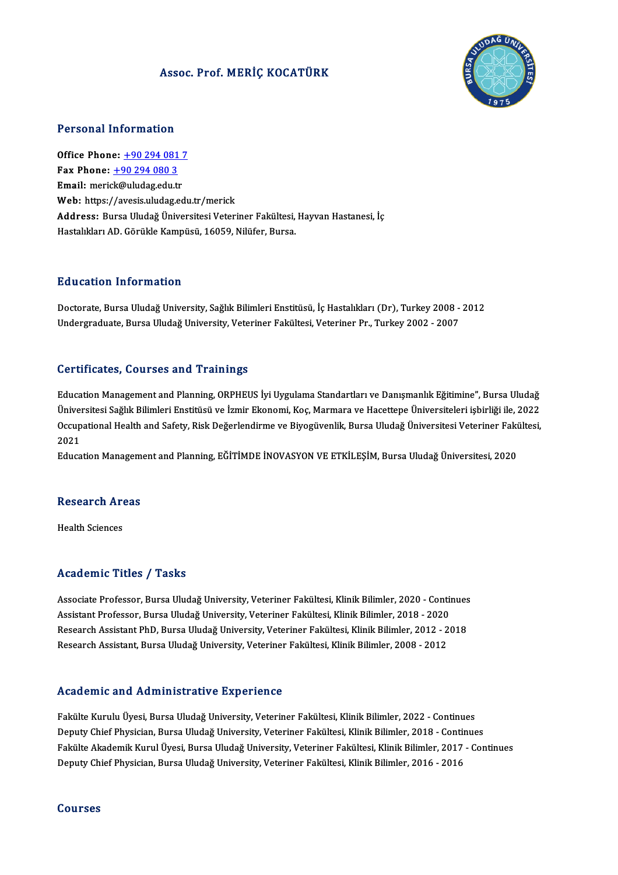### Assoc. Prof.MERİÇ KOCATÜRK



### Personal Information

Personal Information<br>Office Phone: <u>+90 294 081 7</u><br>Fay Phone: 190 294 080 2 office Phone: <u>+90 294 081</u><br>Fax Phone: <u>+90 294 080 3</u><br>Fmail: maxial:@uludas.edu.tr Office Phone: <u>+90 294 081 7</u><br>Fax Phone: <u>+90 294 080 3</u><br>Email: meri[ck@uludag.edu.](tel:+90 294 080 3)[tr](tel:+90 294 081 7) Fax Phone: <u>+90 294 080 3</u><br>Email: merick@uludag.edu.tr<br>Web: https://avesis.uludag.edu.tr/merick Address: Bursa Uludağ Üniversitesi Veteriner Fakültesi, Hayvan Hastanesi, İç Hastalıkları AD. Görükle Kampüsü, 16059, Nilüfer, Bursa.

### Education Information

Doctorate, Bursa Uludağ University, Sağlık Bilimleri Enstitüsü, İç Hastalıkları (Dr), Turkey 2008 - 2012 Undergraduate, Bursa Uludağ University, Veteriner Fakültesi, Veteriner Pr., Turkey 2002 - 2007

### Certificates, Courses and Trainings

Ce<mark>rtificates, Courses and Trainings</mark><br>Education Management and Planning, ORPHEUS İyi Uygulama Standartları ve Danışmanlık Eğitimine", Bursa Uludağ<br>Üniversitesi Seğluk Bilimleri Enstitüsü ve İzmir Ekanami Kas Marmara ve Has üst irredices, dodroes dira "Trainings"<br>Education Management and Planning, ORPHEUS İyi Uygulama Standartları ve Danışmanlık Eğitimine", Bursa Uludağ<br>Qasunational Health and Safaty, Biak Değarlandirma ve Biyasüyenlik, Bursa Education Management and Planning, ORPHEUS İyi Uygulama Standartları ve Danışmanlık Eğitimine", Bursa Uludağ<br>Üniversitesi Sağlık Bilimleri Enstitüsü ve İzmir Ekonomi, Koç, Marmara ve Hacettepe Üniversiteleri işbirliği ile, Üniversitesi Sağlık Bilimleri Enstitüsü ve İzmir Ekonomi, Koç, Marmara ve Hacettepe Üniversiteleri işbirliği ile, 2022<br>Occupational Health and Safety, Risk Değerlendirme ve Biyogüvenlik, Bursa Uludağ Üniversitesi Veteriner Occupational Health and Safety, Risk Değerlendirme ve Biyogüvenlik, Bursa Uludağ Üniversitesi Veteriner Fakültesi,

# eaucation Managem<br>Research Areas R<mark>esearch Ar</mark><br>Health Sciences

# Academic Titles / Tasks

Academic Titles / Tasks<br>Associate Professor, Bursa Uludağ University, Veteriner Fakültesi, Klinik Bilimler, 2020 - Continues<br>Assistant Brafessor, Bursa Uludağ University, Veteriner Fakültesi, Klinik Bilimler, 2019, 2020 Associate Professor, Bursa Uludağ University, Veteriner Fakültesi, Klinik Bilimler, 2020 - Contin<br>Assistant Professor, Bursa Uludağ University, Veteriner Fakültesi, Klinik Bilimler, 2018 - 2020<br>Besearsh Assistant PhD, Burs Associate Professor, Bursa Uludağ University, Veteriner Fakültesi, Klinik Bilimler, 2020 - Continues<br>Assistant Professor, Bursa Uludağ University, Veteriner Fakültesi, Klinik Bilimler, 2018 - 2020<br>Research Assistant PhD, B Assistant Professor, Bursa Uludağ University, Veteriner Fakültesi, Klinik Bilimler, 2018 - 2020<br>Research Assistant PhD, Bursa Uludağ University, Veteriner Fakültesi, Klinik Bilimler, 2012 - 2<br>Research Assistant, Bursa Ulud Research Assistant, Bursa Uludağ University, Veteriner Fakültesi, Klinik Bilimler, 2008 - 2012<br>Academic and Administrative Experience

Fakülte Kurulu Üyesi, Bursa Uludağ University, Veteriner Fakültesi, Klinik Bilimler, 2022 - Continues rsonationire and rramminisch active Enperionice<br>Pakülte Kurulu Üyesi, Bursa Uludağ University, Veteriner Fakültesi, Klinik Bilimler, 2022 - Continues<br>Pakülte Akademik Kurul Üyesi, Bursa Uludağ University, Veteriner Fakülte Fakülte Akademik Kurul Üyesi, Bursa Uludağ University, Veteriner Fakültesi, Klinik Bilimler, 2017 - Continues<br>Deputy Chief Physician, Bursa Uludağ University, Veteriner Fakültesi, Klinik Bilimler, 2016 - 2016 Deputy Chief Physician, Bursa Uludağ University, Veteriner Fakültesi, Klinik Bilimler, 2018 - Contir<br>Fakülte Akademik Kurul Üyesi, Bursa Uludağ University, Veteriner Fakültesi, Klinik Bilimler, 2017<br>Deputy Chief Physician,

### Courses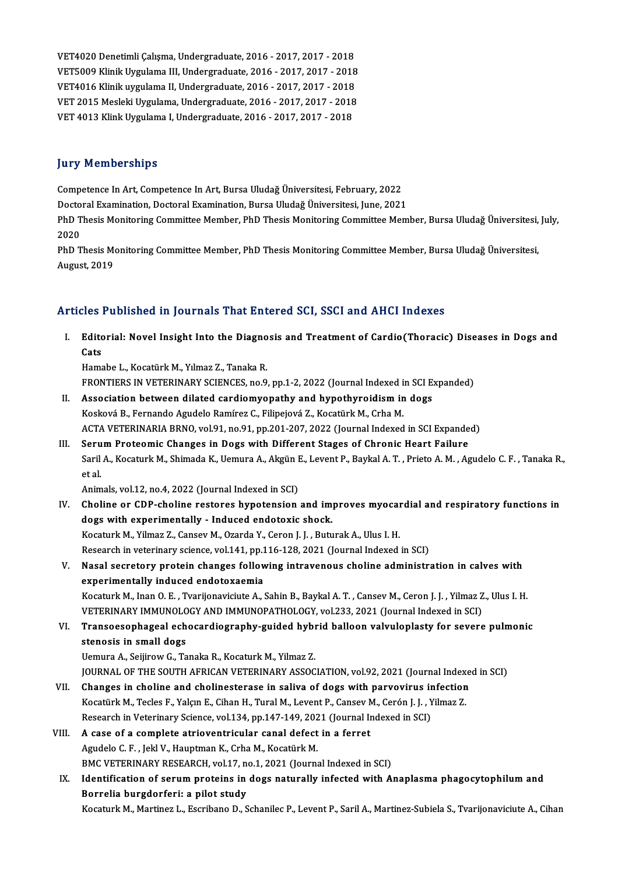VET4020 Denetimli Çalışma, Undergraduate, 2016 - 2017, 2017 - 2018<br>VET5000 Klinik Uvgulama III Undergraduate, 2016 - 2017, 2017 - 2018 VET4020 Denetimli Çalışma, Undergraduate, 2016 - 2017, 2017 - 2018<br>VET5009 Klinik Uygulama III, Undergraduate, 2016 - 2017, 2017 - 2018<br>VET4016 Klinik uygulama II Undergraduate, 2016 - 2017, 2017, 2019 VET4020 Denetimli Çalışma, Undergraduate, 2016 - 2017, 2017 - 2018<br>VET5009 Klinik Uygulama III, Undergraduate, 2016 - 2017, 2017 - 2018<br>VET4016 Klinik uygulama II, Undergraduate, 2016 - 2017, 2017 - 2018<br>VET 2015 Mesleki U VET5009 Klinik Uygulama III, Undergraduate, 2016 - 2017, 2017 - 2018<br>VET4016 Klinik uygulama II, Undergraduate, 2016 - 2017, 2017 - 2018<br>VET 2015 Mesleki Uygulama, Undergraduate, 2016 - 2017, 2017 - 2018<br>VET 4013 Klink Uyg VET4016 Klinik uygulama II, Undergraduate, 2016 - 2017, 2017 - 2018

### **Jury Memberships**

Competence InArt,Competence InArt,BursaUludağÜniversitesi,February,2022

Doctoral Examination, Doctoral Examination, Bursa Uludağ Üniversitesi, June, 2021

Competence In Art, Competence In Art, Bursa Uludağ Üniversitesi, February, 2022<br>Doctoral Examination, Doctoral Examination, Bursa Uludağ Üniversitesi, June, 2021<br>PhD Thesis Monitoring Committee Member, PhD Thesis Monitorin Docto<br>PhD T<br>2020<br>מבואת PhD Thesis Monitoring Committee Member, PhD Thesis Monitoring Committee Member, Bursa Uludağ Üniversitesi,<br>2020<br>PhD Thesis Monitoring Committee Member, PhD Thesis Monitoring Committee Member, Bursa Uludağ Üniversitesi,<br>Aug

2020<br>PhD Thesis Monitoring Committee Member, PhD Thesis Monitoring Committee Member, Bursa Uludağ Üniversitesi,<br>August, 2019

### Articles Published in Journals That Entered SCI, SSCI and AHCI Indexes

rticles Published in Journals That Entered SCI, SSCI and AHCI Indexes<br>I. Editorial: Novel Insight Into the Diagnosis and Treatment of Cardio(Thoracic) Diseases in Dogs and<br>Cats nes<br>Edito<br>Cats<br><sup>Hame</sup> Editorial: Novel Insight Into the Diagno<br>Cats<br>Hamabe L., Kocatürk M., Yılmaz Z., Tanaka R.<br>EPONTIERS IN VETERINARY SCIENCES, no 9 Cats<br>Hamabe L., Kocatürk M., Yılmaz Z., Tanaka R.<br>FRONTIERS IN VETERINARY SCIENCES, no.9, pp.1-2, 2022 (Journal Indexed in SCI Expanded)<br>Association between dilated sardiamyonathy and hynothyroidism in dags.

- Hamabe L., Kocatürk M., Yılmaz Z., Tanaka R.<br>FRONTIERS IN VETERINARY SCIENCES, no.9, pp.1-2, 2022 (Journal Indexed in SCI E<br>II. Association between dilated cardiomyopathy and hypothyroidism in dogs<br>Kosková B., Fernando Agu FRONTIERS IN VETERINARY SCIENCES, no.9, pp.1-2, 2022 (Journal Indexed in<br>Association between dilated cardiomyopathy and hypothyroidism in<br>Kosková B., Fernando Agudelo Ramírez C., Filipejová Z., Kocatürk M., Crha M.<br>ACTA VE ACTA VETERINARIA BRNO, vol.91, no.91, pp.201-207, 2022 (Journal Indexed in SCI Expanded) Kosková B., Fernando Agudelo Ramírez C., Filipejová Z., Kocatürk M., Crha M.<br>ACTA VETERINARIA BRNO, vol.91, no.91, pp.201-207, 2022 (Journal Indexed in SCI Expande<br>III. Serum Proteomic Changes in Dogs with Different Stages
- ACTA VETERINARIA BRNO, vol.91, no.91, pp.201-207, 2022 (Journal Indexed in SCI Expanded)<br>Serum Proteomic Changes in Dogs with Different Stages of Chronic Heart Failure<br>Saril A., Kocaturk M., Shimada K., Uemura A., Akgün E. Seru<br>Saril<br>et al. Saril A., Kocaturk M., Shimada K., Uemura A., Akgün I<br>et al.<br>Animals, vol.12, no.4, 2022 (Journal Indexed in SCI)<br>Shaline or SDB shaline restance hypotension

- et al.<br>Animals, vol.12, no.4, 2022 (Journal Indexed in SCI)<br>IV. Choline or CDP-choline restores hypotension and improves myocardial and respiratory functions in<br>dogs with experimentally. Indused endetaxis shock Animals, vol.12, no.4, 2022 (Journal Indexed in SCI)<br>Choline or CDP-choline restores hypotension and im<br>dogs with experimentally - Induced endotoxic shock.<br>Kosaturk M. Vilmar 7, Consey M. Oranda V. Caron J. J. Butu Choline or CDP-choline restores hypotension and improves myocal<br>dogs with experimentally - Induced endotoxic shock.<br>Kocaturk M., Yilmaz Z., Cansev M., Ozarda Y., Ceron J. J. , Buturak A., Ulus I. H.<br>Besearsh in veterinary dogs with experimentally - Induced endotoxic shock.<br>Kocaturk M., Yilmaz Z., Cansev M., Ozarda Y., Ceron J. J. , Buturak A., Ulus I. H.<br>Research in veterinary science, vol.141, pp.116-128, 2021 (Journal Indexed in SCI)<br>Nasa Kocaturk M., Yilmaz Z., Cansev M., Ozarda Y., Ceron J. J. , Buturak A., Ulus I. H.<br>Research in veterinary science, vol.141, pp.116-128, 2021 (Journal Indexed in SCI)<br>V. Nasal secretory protein changes following intravenous
- Research in veterinary science, vol.141, pp.1<br>Nasal secretory protein changes follow<br>experimentally induced endotoxaemia<br>Kessturk M. Inan O. E., Tyarijanavisiwa A. 1 Nasal secretory protein changes following intravenous choline administration in calves with<br>experimentally induced endotoxaemia<br>Kocaturk M., Inan O. E. , Tvarijonaviciute A., Sahin B., Baykal A. T. , Cansev M., Ceron J. J. experimentally induced endotoxaemia<br>Kocaturk M., Inan O. E. , Tvarijonaviciute A., Sahin B., Baykal A. T. , Cansev M., Ceron J. J. , Yilmaz Z<br>VETERINARY IMMUNOLOGY AND IMMUNOPATHOLOGY, vol.233, 2021 (Journal Indexed in SCI

### Kocaturk M., Inan O. E. , Tvarijonaviciute A., Sahin B., Baykal A. T. , Cansev M., Ceron J. J. , Yilmaz Z., Ulus I. H.<br>VETERINARY IMMUNOLOGY AND IMMUNOPATHOLOGY, vol.233, 2021 (Journal Indexed in SCI)<br>VI. Transoesophageal VETERINARY IMMUNOLOGY AND IMMUNOPATHOLOGY, vol.233, 2021 (Journal Indexed in SCI)<br>Transoesophageal echocardiography-guided hybrid balloon valvuloplasty for severe<br>stenosis in small dogs<br>Uemura A., Seijirow G., Tanaka R., K VI. Transoesophageal echocardiography-guided hybrid balloon valvuloplasty for severe pulmonic

JOURNAL OF THE SOUTH AFRICAN VETERINARY ASSOCIATION, vol.92, 2021 (Journal Indexed in SCI)

- Vemura A., Seijirow G., Tanaka R., Kocaturk M., Yilmaz Z.<br>JOURNAL OF THE SOUTH AFRICAN VETERINARY ASSOCIATION, vol.92, 2021 (Journal Indexe<br>VII. Changes in choline and cholinesterase in saliva of dogs with parvovirus infec JOURNAL OF THE SOUTH AFRICAN VETERINARY ASSOCIATION, vol.92, 2021 (Journal Index<br>Changes in choline and cholinesterase in saliva of dogs with parvovirus infection<br>Kocatürk M., Tecles F., Yalçın E., Cihan H., Tural M., Leve Changes in choline and cholinesterase in saliva of dogs with parvovirus in<br>Kocatürk M., Tecles F., Yalçın E., Cihan H., Tural M., Levent P., Cansev M., Cerón J. J. , Y<br>Research in Veterinary Science, vol.134, pp.147-149, 2 Kocatürk M., Tecles F., Yalçın E., Cihan H., Tural M., Levent P., Cansev M<br>Research in Veterinary Science, vol. 134, pp. 147-149, 2021 (Journal In<br>VIII. A case of a complete atrioventricular canal defect in a ferret<br>Agudel
- Research in Veterinary Science, vol.134, pp.147-149, 202<br>A case of a complete atrioventricular canal defect<br>Agudelo C.F., Jekl V., Hauptman K., Crha M., Kocatürk M.<br>PMC VETERINARY RESEARCH VOL17, po.1, 2021 (Journa A case of a complete atrioventricular canal defect in a ferret<br>Agudelo C.F., Jekl V., Hauptman K., Crha M., Kocatürk M.<br>BMC VETERINARY RESEARCH, vol.17, no.1, 2021 (Journal Indexed in SCI)<br>Identification of segure proteins

## Agudelo C. F. , Jekl V., Hauptman K., Crha M., Kocatürk M.<br>BMC VETERINARY RESEARCH, vol.17, no.1, 2021 (Journal Indexed in SCI)<br>IX. Identification of serum proteins in dogs naturally infected with Anaplasma phagocytophilum BMC VETERINARY RESEARCH, vol.17, no<br>Identification of serum proteins in<br>Borrelia burgdorferi: a pilot study<br>Kosaturk M. Martinez L. Escribano D. S Identification of serum proteins in dogs naturally infected with Anaplasma phagocytophilum and<br>Borrelia burgdorferi: a pilot study<br>Kocaturk M., Martinez L., Escribano D., Schanilec P., Levent P., Saril A., Martinez-Subiela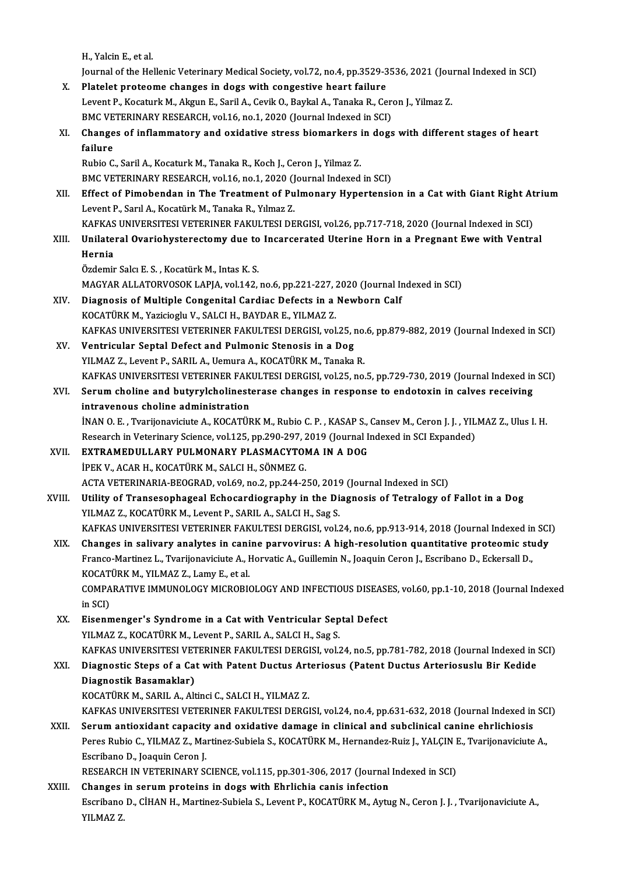H.,YalcinE.,etal.

H., Yalcin E., et al.<br>Journal of the Hellenic Veterinary Medical Society, vol.72, no.4, pp.3529-3536, 2021 (Journal Indexed in SCI)<br>Platelet proteome shanges in dogs with sepsestive beart failure H., Yalcin E., et al.<br>Journal of the Hellenic Veterinary Medical Society, vol.72, no.4, pp.3529-3<br>X. Platelet proteome changes in dogs with congestive heart failure<br>Lavent B. Kessturk M. Algun E. Saril A. Cavik O. Baylal A

- Journal of the Hellenic Veterinary Medical Society, vol.72, no.4, pp.3529-3536, 2021 (Jou:<br>Platelet proteome changes in dogs with congestive heart failure<br>Levent P., Kocaturk M., Akgun E., Saril A., Cevik O., Baykal A., Ta X. Platelet proteome changes in dogs with congestive heart failure<br>Levent P., Kocaturk M., Akgun E., Saril A., Cevik O., Baykal A., Tanaka R., Ceron J., Yilmaz Z. Levent P., Kocaturk M., Akgun E., Saril A., Cevik O., Baykal A., Tanaka R., Ceron J., Yilmaz Z.<br>BMC VETERINARY RESEARCH, vol.16, no.1, 2020 (Journal Indexed in SCI)<br>XI. Changes of inflammatory and oxidative stress biomarke
- BMC VETERINARY RESEARCH, vol.16, no.1, 2020 (Journal Indexed in SCI)<br>Changes of inflammatory and oxidative stress biomarkers in dog:<br>failure<br>Rubio C., Saril A., Kocaturk M., Tanaka R., Koch J., Ceron J., Yilmaz Z. Changes of inflammatory and oxidative stress biomarkers i<br>failure<br>Rubio C., Saril A., Kocaturk M., Tanaka R., Koch J., Ceron J., Yilmaz Z.<br>PMC VETERINARY RESEARCH - Vol.16, no.1, 2020 (Journal Indoved

BMC VETERINARY RESEARCH, vol.16, no.1, 2020 (Journal Indexed in SCI)

- Rubio C., Saril A., Kocaturk M., Tanaka R., Koch J., Ceron J., Yilmaz Z.<br>BMC VETERINARY RESEARCH, vol.16, no.1, 2020 (Journal Indexed in SCI)<br>XII. Effect of Pimobendan in The Treatment of Pulmonary Hypertension in a Cat wi BMC VETERINARY RESEARCH, vol.16, no.1, 2020 (J<br>Effect of Pimobendan in The Treatment of Pu<br>Levent P., Sarıl A., Kocatürk M., Tanaka R., Yılmaz Z.<br>KAEKAS UNIVERSITESI VETERINER RAKULTESI DE Effect of Pimobendan in The Treatment of Pulmonary Hypertension in a Cat with Giant Right At<br>Levent P., Sarıl A., Kocatürk M., Tanaka R., Yılmaz Z.<br>KAFKAS UNIVERSITESI VETERINER FAKULTESI DERGISI, vol.26, pp.717-718, 2020 Levent P., Sarıl A., Kocatürk M., Tanaka R., Yılmaz Z.<br>KAFKAS UNIVERSITESI VETERINER FAKULTESI DERGISI, vol.26, pp.717-718, 2020 (Journal Indexed in SCI)<br>XIII. Unilateral Ovariohysterectomy due to Incarcerated Uterine
- KAFKAS<br>Unilate:<br>Hernia<br>Özdemir Hernia<br>Özdemir Salcı E. S. , Kocatürk M., Intas K. S.

Hernia<br>Özdemir Salcı E. S. , Kocatürk M., Intas K. S.<br>MAGYAR ALLATORVOSOK LAPJA, vol.142, no.6, pp.221-227, 2020 (Journal Indexed in SCI)<br>Diagnosis of Multiple Congonital Cordias Defects in a Nowborn Calf

- XIV. Diagnosis of Multiple Congenital Cardiac Defects in a Newborn Calf<br>KOCATÜRK M., Yazicioglu V., SALCI H., BAYDAR E., YILMAZ Z. MAGYAR ALLATORVOSOK LAPJA, vol.142, no.6, pp.221-227, <mark>:</mark><br>Diagnosis of Multiple Congenital Cardiac Defects in a<br>KOCATÜRK M., Yazicioglu V., SALCI H., BAYDAR E., YILMAZ Z.<br>KARKAS UNIVERSITESI VETERINER FAKULTESI DERCISI vol Diagnosis of Multiple Congenital Cardiac Defects in a Newborn Calf<br>KOCATÜRK M., Yazicioglu V., SALCI H., BAYDAR E., YILMAZ Z.<br>KAFKAS UNIVERSITESI VETERINER FAKULTESI DERGISI, vol.25, no.6, pp.879-882, 2019 (Journal Indexed KOCATÜRK M., Yazicioglu V., SALCI H., BAYDAR E., YILMAZ Z.<br>KAFKAS UNIVERSITESI VETERINER FAKULTESI DERGISI, vol.25, I<br>XV. Ventricular Septal Defect and Pulmonic Stenosis in a Dog<br>XV. MAZZ Levent B. SABU A. Hamura A. KOCATÜ
- KAFKAS UNIVERSITESI VETERINER FAKULTESI DERGISI, vol.25, no.<br>Ventricular Septal Defect and Pulmonic Stenosis in a Dog<br>YILMAZ Z., Levent P., SARIL A., Uemura A., KOCATÜRK M., Tanaka R.<br>KAEKAS UNIVERSITESI VETERINER FAKULTES XV. Ventricular Septal Defect and Pulmonic Stenosis in a Dog<br>YILMAZ Z., Levent P., SARIL A., Uemura A., KOCATÜRK M., Tanaka R.<br>KAFKAS UNIVERSITESI VETERINER FAKULTESI DERGISI, vol.25, no.5, pp.729-730, 2019 (Journal Indexe
- YILMAZ Z., Levent P., SARIL A., Uemura A., KOCATÜRK M., Tanaka R.<br>KAFKAS UNIVERSITESI VETERINER FAKULTESI DERGISI, vol.25, no.5, pp.729-730, 2019 (Journal Indexed in<br>XVI. Serum choline and butyrylcholinesterase changes in KAFKAS UNIVERSITESI VETERINER FAK<br>Serum choline and butyrylcholinest<br>intravenous choline administration<br>inAN O E \_Typrijonavigiute A\_KOCATÜE Serum choline and butyrylcholinesterase changes in response to endotoxin in calves receiving<br>intravenous choline administration<br>İNAN O.E., Tvarijonaviciute A., KOCATÜRK M., Rubio C.P., KASAP S., Cansev M., Ceron J. J., YIL intravenous choline administration<br>İNAN O. E. , Tvarijonaviciute A., KOCATÜRK M., Rubio C. P. , KASAP S., Cansev M., Ceron J. J. , YIL<br>Research in Veterinary Science, vol.125, pp.290-297, 2019 (Journal Indexed in SCI Expan

- INAN O. E., Tvarijonaviciute A., KOCATÜRK M., Rubio C. P., KASAP S.,<br>Research in Veterinary Science, vol.125, pp.290-297, 2019 (Journal I.<br>XVII. EXTRAMEDULLARY PULMONARY PLASMACYTOMA IN A DOG<br>IDEK V. AGAR H. KOCATÜRK M. SA Research in Veterinary Science, vol.125, pp.290-297, 2019 (Journal Indexed in SCI Expanded)<br>EXTRAMEDULLARY PULMONARY PLASMACYTOMA IN A DOG<br>İPEK V., ACAR H., KOCATÜRK M., SALCI H., SÖNMEZ G. EXTRAMEDULLARY PULMONARY PLASMACYTOMA IN A DOG<br>İPEK V., ACAR H., KOCATÜRK M., SALCI H., SÖNMEZ G.<br>ACTA VETERINARIA-BEOGRAD, vol.69, no.2, pp.244-250, 2019 (Journal Indexed in SCI)<br>Hillity of Transesonbeggel Esbegardiograph
- XVIII. Utility of Transesophageal Echocardiography in the Diagnosis of Tetralogy of Fallot in a Dog<br>YILMAZ Z., KOCATÜRK M., Levent P., SARIL A., SALCI H., Sag S. ACTA VETERINARIA-BEOGRAD, vol.69, no.2, pp.244-250, 2019<br>Utility of Transesophageal Echocardiography in the Di<br>YILMAZ Z., KOCATÜRK M., Levent P., SARIL A., SALCI H., Sag S.<br>KARKAS UNIVERSITESI VETERINER FAKIH TESI DERCISI Utility of Transesophageal Echocardiography in the Diagnosis of Tetralogy of Fallot in a Dog<br>YILMAZ Z., KOCATÜRK M., Levent P., SARIL A., SALCI H., Sag S.<br>KAFKAS UNIVERSITESI VETERINER FAKULTESI DERGISI, vol.24, no.6, pp.9 YILMAZ Z., KOCATÜRK M., Levent P., SARIL A., SALCI H., Sag S.<br>KAFKAS UNIVERSITESI VETERINER FAKULTESI DERGISI, vol.24, no.6, pp.913-914, 2018 (Journal Indexed in SCI<br>XIX. Changes in salivary analytes in canine parvovirus:
	- KAFKAS UNIVERSITESI VETERINER FAKULTESI DERGISI, vol.24, no.6, pp.913-914, 2018 (Journal Indexed in<br>Changes in salivary analytes in canine parvovirus: A high-resolution quantitative proteomic stu<br>Franco-Martinez L., Tvarij Changes in salivary analytes in cani<br>Franco-Martinez L., Tvarijonaviciute A., I<br>KOCATÜRK M., YILMAZ Z., Lamy E., et al.<br>COMBARATIVE IMMUNOLOCY MICROPI4 Franco-Martinez L., Tvarijonaviciute A., Horvatic A., Guillemin N., Joaquin Ceron J., Escribano D., Eckersall D.,<br>KOCATÜRK M., YILMAZ Z., Lamy E., et al.<br>COMPARATIVE IMMUNOLOGY MICROBIOLOGY AND INFECTIOUS DISEASES, vol.60, KOCAT<br>COMPA<br>in SCI)<br>Eisenn COMPARATIVE IMMUNOLOGY MICROBIOLOGY AND INFECTIOUS DISEASI<br>in SCI)<br>XX. Eisenmenger's Syndrome in a Cat with Ventricular Septal Defect<br>VII MAZZ. KOCATÜRK M. Lavort B. SARIL A. SALCLH. Sog S.
	- in SCI)<br>Eisenmenger's Syndrome in a Cat with Ventricular Sep<br>YILMAZ Z., KOCATÜRK M., Levent P., SARIL A., SALCI H., Sag S.<br>KARKAS UNIVERSITESI VETERINER RAKULTESI DERCISI vel YILMAZ Z., KOCATÜRK M., Levent P., SARIL A., SALCI H., Sag S.<br>KAFKAS UNIVERSITESI VETERINER FAKULTESI DERGISI, vol.24, no.5, pp.781-782, 2018 (Journal Indexed in SCI) YILMAZ Z., KOCATÜRK M., Levent P., SARIL A., SALCI H., Sag S.<br>KAFKAS UNIVERSITESI VETERINER FAKULTESI DERGISI, vol.24, no.5, pp.781-782, 2018 (Journal Indexed in Arteriosus<br>XXI. Diagnostic Steps of a Cat with Patent Du

KAFKAS UNIVERSITESI VET<br>Diagnostic Steps of a Ca<br>Diagnostik Basamaklar)<br>KOCATÜPK M. SAPILA. Alt Diagnostic Steps of a Cat with Patent Ductus Art<br>Diagnostik Basamaklar)<br>KOCATÜRK M., SARIL A., Altinci C., SALCI H., YILMAZ Z.<br>KARKAS UNIVERSITESI VETERINER FAKULTESI DERCI

Diagnostik Basamaklar)<br>KOCATÜRK M., SARIL A., Altinci C., SALCI H., YILMAZ Z.<br>KAFKAS UNIVERSITESI VETERINER FAKULTESI DERGISI, vol.24, no.4, pp.631-632, 2018 (Journal Indexed in SCI)<br>Serum antioxident sanasity and avidativ

KOCATÜRK M., SARIL A., Altinci C., SALCI H., YILMAZ Z.<br>KAFKAS UNIVERSITESI VETERINER FAKULTESI DERGISI, vol.24, no.4, pp.631-632, 2018 (Journal Indexed in<br>XXII. Serum antioxidant capacity and oxidative damage in clinical a KAFKAS UNIVERSITESI VETERINER FAKULTESI DERGISI, vol.24, no.4, pp.631-632, 2018 (Journal Indexed in SC<br>Serum antioxidant capacity and oxidative damage in clinical and subclinical canine ehrlichiosis<br>Peres Rubio C., YILMAZ Serum antioxidant capacity<br>Peres Rubio C., YILMAZ Z., Ma<br>Escribano D., Joaquin Ceron J.<br>PESEAPCH IN VETERINARY S6 Peres Rubio C., YILMAZ Z., Martinez-Subiela S., KOCATÜRK M., Hernandez-Ruiz J., YALÇIN I<br>Escribano D., Joaquin Ceron J.<br>RESEARCH IN VETERINARY SCIENCE, vol.115, pp.301-306, 2017 (Journal Indexed in SCI)<br>Changes in serum pr

Escribano D., Joaquin Ceron J.<br>RESEARCH IN VETERINARY SCIENCE, vol.115, pp.301-306, 2017 (Journal<br>XXIII. Changes in serum proteins in dogs with Ehrlichia canis infection<br>Festivene D. CHAN H. Martiner Subjele S. Levent B. F RESEARCH IN VETERINARY SCIENCE, vol.115, pp.301-306, 2017 (Journal Indexed in SCI)<br>Changes in serum proteins in dogs with Ehrlichia canis infection<br>Escribano D., CİHAN H., Martinez-Subiela S., Levent P., KOCATÜRK M., Aytug Changes in serum proteins in dogs with Ehrlichia canis infection<br>Escribano D., CİHAN H., Martinez-Subiela S., Levent P., KOCATÜRK M., Aytug N., Ceron J. J. , Tvarijonaviciute A.,<br>YILMAZ Z.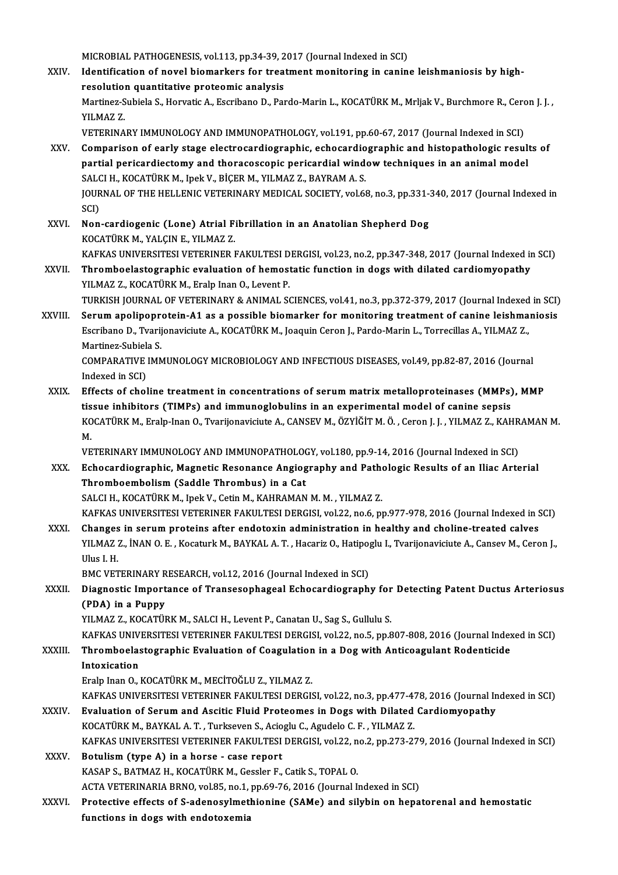MICROBIAL PATHOGENESIS, vol.113, pp.34-39, 2017 (Journal Indexed in SCI)<br>Identification of novel biomerkers for treatment menitoring in senin

XXIV. Identification of novel biomarkers for treatment monitoring in canine leishmaniosis by high-<br>resolution quantitative proteomic analysis MICROBIAL PATHOGENESIS, vol.113, pp.34-39, 2<br>Identification of novel biomarkers for trea<br>resolution quantitative proteomic analysis<br>Martinez Subjele S. Hervetic A. Escribane D. Per Identification of novel biomarkers for treatment monitoring in canine leishmaniosis by high-<br>resolution quantitative proteomic analysis<br>Martinez-Subiela S., Horvatic A., Escribano D., Pardo-Marin L., KOCATÜRK M., Mrljak V. **resolutio**<br>Martinez-S<br>YILMAZ Z.<br>VETERINA Martinez-Subiela S., Horvatic A., Escribano D., Pardo-Marin L., KOCATÜRK M., Mrljak V., Burchmore R., Cerc<br>YILMAZ Z.<br>VETERINARY IMMUNOLOGY AND IMMUNOPATHOLOGY, vol.191, pp.60-67, 2017 (Journal Indexed in SCI)<br>Comparison of YILMAZ Z.<br>VETERINARY IMMUNOLOGY AND IMMUNOPATHOLOGY, vol.191, pp.60-67, 2017 (Journal Indexed in SCI)<br>XXV. Comparison of early stage electrocardiographic, echocardiographic and histopathologic results of<br>nartial parisardia

- VETERINARY IMMUNOLOGY AND IMMUNOPATHOLOGY, vol.191, pp.60-67, 2017 (Journal Indexed in SCI)<br>Comparison of early stage electrocardiographic, echocardiographic and histopathologic result<br>partial pericardiectomy and thoracosc Comparison of early stage electrocardiographic, echocardio<br>partial pericardiectomy and thoracoscopic pericardial wind<br>SALCI H., KOCATÜRK M., Ipek V., BİÇER M., YILMAZ Z., BAYRAM A. S.<br>JOUPMAL OF THE HELLENIC VETERINARY MED partial pericardiectomy and thoracoscopic pericardial window techniques in an animal model<br>SALCI H., KOCATÜRK M., Ipek V., BİÇER M., YILMAZ Z., BAYRAM A. S.<br>JOURNAL OF THE HELLENIC VETERINARY MEDICAL SOCIETY, vol.68, no.3, SAL<br>JOUR<br>SCI)<br>Non JOURNAL OF THE HELLENIC VETERINARY MEDICAL SOCIETY, vol.68, no.3, pp.331-3<br>SCI)<br>XXVI. Non-cardiogenic (Lone) Atrial Fibrillation in an Anatolian Shepherd Dog<br>KOCATÜPK M, VALCINE, VILMAZ Z
- SCI)<br>XXVI. Non-cardiogenic (Lone) Atrial Fibrillation in an Anatolian Shepherd Dog<br>KOCATÜRK M., YALÇIN E., YILMAZ Z. Non-cardiogenic (Lone) Atrial Fibrillation in an Anatolian Shepherd Dog<br>KOCATÜRK M., YALÇIN E., YILMAZ Z.<br>KAFKAS UNIVERSITESI VETERINER FAKULTESI DERGISI, vol.23, no.2, pp.347-348, 2017 (Journal Indexed in SCI)<br>Thromboclas
- KOCATÜRK M., YALÇIN E., YILMAZ Z.<br>KAFKAS UNIVERSITESI VETERINER FAKULTESI DERGISI, vol.23, no.2, pp.347-348, 2017 (Journal Indexed in<br>XXVII. Thromboelastographic evaluation of hemostatic function in dogs with dilated cardi KAFKAS UNIVERSITESI VETERINER FAKULTESI D<br>Thromboelastographic evaluation of hemost<br>YILMAZ Z., KOCATÜRK M., Eralp Inan O., Levent P.<br>TIRVISH JOURNAL OF VETERINARY & ANIMAL SC Thromboelastographic evaluation of hemostatic function in dogs with dilated cardiomyopathy<br>YILMAZ Z., KOCATÜRK M., Eralp Inan O., Levent P.<br>TURKISH JOURNAL OF VETERINARY & ANIMAL SCIENCES, vol.41, no.3, pp.372-379, 2017 (J
- XXVIII. Serum apolipoprotein-A1 as a possible biomarker for monitoring treatment of canine leishmaniosis TURKISH JOURNAL OF VETERINARY & ANIMAL SCIENCES, vol.41, no.3, pp.372-379, 2017 (Journal Indexed<br>Serum apolipoprotein-A1 as a possible biomarker for monitoring treatment of canine leishma<br>Escribano D., Tvarijonaviciute A., Serum apolipopre<br>Escribano D., Tvarij<br>Martinez-Subiela S.<br>COMBARATIVE IMA Escribano D., Tvarijonaviciute A., KOCATÜRK M., Joaquin Ceron J., Pardo-Marin L., Torrecillas A., YILMAZ Z.,<br>Martinez-Subiela S.<br>COMPARATIVE IMMUNOLOGY MICROBIOLOGY AND INFECTIOUS DISEASES, vol.49, pp.82-87, 2016 (Journal<br>

Martinez-Subiela S.<br>COMPARATIVE IMMUNOLOGY MICROBIOLOGY AND INFECTIOUS DISEASES, vol.49, pp.82-87, 2016 (Journal<br>Indexed in SCI) COMPARATIVE IMMUNOLOGY MICROBIOLOGY AND INFECTIOUS DISEASES, vol.49, pp.82-87, 2016 (Journal<br>Indexed in SCI)<br>XXIX. Effects of choline treatment in concentrations of serum matrix metalloproteinases (MMPs), MMP<br>ticsue inhibi

Indexed in SCI)<br>Effects of choline treatment in concentrations of serum matrix metalloproteinases (MMPs)<br>tissue inhibitors (TIMPs) and immunoglobulins in an experimental model of canine sepsis<br>KOCATÜRK M. Eraln Inan O. Tya Effects of choline treatment in concentrations of serum matrix metalloproteinases (MMPs), MMP<br>tissue inhibitors (TIMPs) and immunoglobulins in an experimental model of canine sepsis<br>KOCATÜRK M., Eralp-Inan O., Tvarijonavic tis<br>KO<br>M KOCATÜRK M., Eralp-Inan O., Tvarijonaviciute A., CANSEV M., ÖZYİĞİT M. Ö. , Ceron J. J. , YILMAZ Z., KAHR<br>M.<br>VETERINARY IMMUNOLOGY AND IMMUNOPATHOLOGY, vol.180, pp.9-14, 2016 (Journal Indexed in SCI)<br>Eshogordiographia, Mag

- M.<br>VETERINARY IMMUNOLOGY AND IMMUNOPATHOLOGY, vol.180, pp.9-14, 2016 (Journal Indexed in SCI)<br>XXX. Echocardiographic, Magnetic Resonance Angiography and Pathologic Results of an Iliac Arterial<br>Thromboombolism (Soddle Th VETERINARY IMMUNOLOGY AND IMMUNOPATHOLOGY, vol.180, pp.9-14, 2016 (Journal Indexed in SCI)<br>Echocardiographic, Magnetic Resonance Angiography and Pathologic Results of an Iliac Arte<br>Thromboembolism (Saddle Thrombus) in a Ca Echocardiographic, Magnetic Resonance Angiography and Path<br>Thromboembolism (Saddle Thrombus) in a Cat<br>SALCI H., KOCATÜRK M., Ipek V., Cetin M., KAHRAMAN M. M. , YILMAZ Z.<br>KAEKAS UNIVERSITESI VETERINER FAKIH TESI DERCISI .v KAFKAS UNIVERSITESI VETERINER FAKULTESI DERGISI, vol.22, no.6, pp.977-978, 2016 (Journal Indexed in SCI) SALCI H., KOCATÜRK M., Ipek V., Cetin M., KAHRAMAN M. M., YILMAZ Z.<br>KAFKAS UNIVERSITESI VETERINER FAKULTESI DERGISI, vol.22, no.6, pp.977-978, 2016 (Journal Indexed in S<br>XXXI. Changes in serum proteins after endotoxin admi
- KAFKAS UNIVERSITESI VETERINER FAKULTESI DERGISI, vol.22, no.6, pp.977-978, 2016 (Journal Indexed in SCI)<br>Changes in serum proteins after endotoxin administration in healthy and choline-treated calves<br>YILMAZ Z., İNAN O. E. Changes<br>YILMAZ<br>Ulus I. H.<br>PMC VET YILMAZ Z., İNAN O. E. , Kocaturk M., BAYKAL A. T. , Hacariz O., Hatipo<sub>l</sub><br>Ulus I. H.<br>BMC VETERINARY RESEARCH, vol.12, 2016 (Journal Indexed in SCI)<br>Diagnostia Importance of Transesenhageal Eshagardiagraph

BMC VETERINARY RESEARCH, vol.12, 2016 (Journal Indexed in SCI)

Ulus I. H.<br>BMC VETERINARY RESEARCH, vol.12, 2016 (Journal Indexed in SCI)<br>XXXII. Diagnostic Importance of Transesophageal Echocardiography for Detecting Patent Ductus Arteriosus<br>(PDA) in a Puppy (PDA) in a Puppy<br>YILMAZ Z., KOCATÜRK M., SALCI H., Levent P., Canatan U., Sag S., Gullulu S.<br>KAFKAS UNIVERSITESI VETERINER FAKULTESI DERGISI, vol.22, no.5, pp.807-808, 2016 (Journal Indexed in SCI)<br>Thromboelastesraphis Eva

YILMAZ Z., KOCATÜRK M., SALCI H., Levent P., Canatan U., Sag S., Gullulu S.

## YILMAZ Z., KOCATÜRK M., SALCI H., Levent P., Canatan U., Sag S., Gullulu S.<br>KAFKAS UNIVERSITESI VETERINER FAKULTESI DERGISI, vol.22, no.5, pp.807-808, 2016 (Journal Index<br>XXXIII. Thromboelastographic Evaluation of Coag KAFKAS UNIV<br>Thromboelas<br>Intoxication<br>Erelp Inen O Thromboelastographic Evaluation of Coagulation<br>Intoxication<br>Eralp Inan O., KOCATÜRK M., MECİTOĞLU Z., YILMAZ Z.<br>KAEKAS UNIVERSITESI VETERINER FAKULTESI DERCIS Intoxication<br>Eralp Inan O., KOCATÜRK M., MECİTOĞLU Z., YILMAZ Z.<br>KAFKAS UNIVERSITESI VETERINER FAKULTESI DERGISI, vol.22, no.3, pp.477-478, 2016 (Journal Indexed in SCI)<br>Evaluation of Sanum and Accitic Eluid Proteomes in D

Eralp Inan O., KOCATÜRK M., MECİTOĞLU Z., YILMAZ Z.<br>KAFKAS UNIVERSITESI VETERINER FAKULTESI DERGISI, vol.22, no.3, pp.477-478, 2016 (Journal In<br>XXXIV. Evaluation of Serum and Ascitic Fluid Proteomes in Dogs with Dilated Ca KAFKAS UNIVERSITESI VETERINER FAKULTESI DERGISI, vol.22, no.3, pp.477-4?<br>Evaluation of Serum and Ascitic Fluid Proteomes in Dogs with Dilated<br>KOCATÜRK M., BAYKAL A. T. , Turkseven S., Acioglu C., Agudelo C. F. , YILMAZ Z.<br> Evaluation of Serum and Ascitic Fluid Proteomes in Dogs with Dilated Cardiomyopathy<br>KOCATÜRK M., BAYKAL A. T. , Turkseven S., Acioglu C., Agudelo C. F. , YILMAZ Z.<br>KAFKAS UNIVERSITESI VETERINER FAKULTESI DERGISI, vol.22, n

### XXXV. Botulism(type A) in a horse - case report KASAP S., BATMAZ H., KOCATÜRK M., Gessler F., Catik S., TOPAL O. ACTA VETERINARIA BRNO, vol.85, no.1, pp.69-76, 2016 (Journal Indexed in SCI) KASAP S., BATMAZ H., KOCATÜRK M., Gessler F., Catik S., TOPAL O.<br>ACTA VETERINARIA BRNO, vol.85, no.1, pp.69-76, 2016 (Journal Indexed in SCI)<br>XXXVI. Protective effects of S-adenosylmethionine (SAMe) and silybin on hepatore

ACTA VETERINARIA BRNO, vol.85, no.1,<br>Protective effects of S-adenosylmet<br>functions in dogs with endotoxemia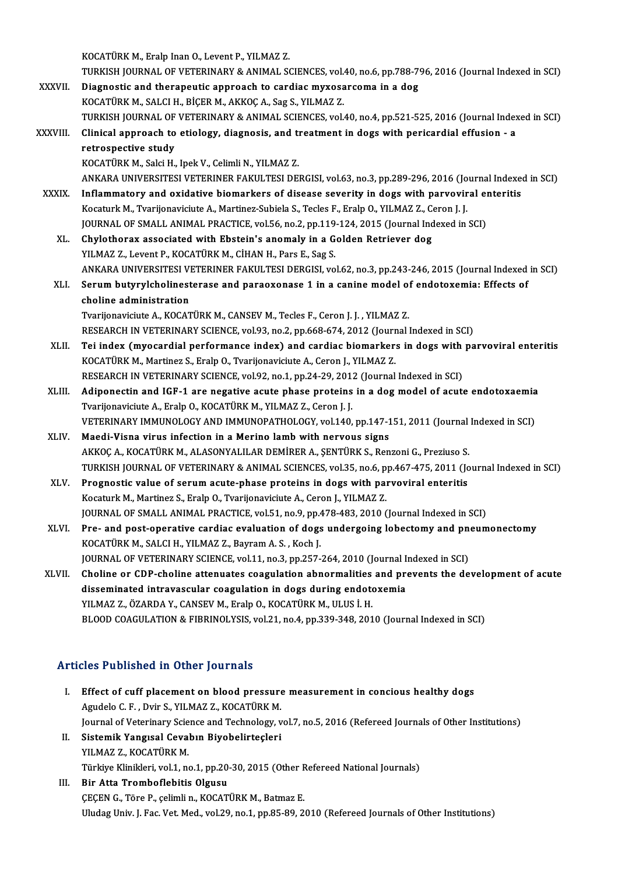KOCATÜRKM.,Eralp InanO.,LeventP.,YILMAZ Z.

- KOCATÜRK M., Eralp Inan O., Levent P., YILMAZ Z.<br>TURKISH JOURNAL OF VETERINARY & ANIMAL SCIENCES, vol.40, no.6, pp.788-796, 2016 (Journal Indexed in SCI)<br>Diagnostis and therepoutis annuogeb to sandias muyosarsoma in a dog. KOCATÜRK M., Eralp Inan O., Levent P., YILMAZ Z.<br>TURKISH JOURNAL OF VETERINARY & ANIMAL SCIENCES, vol.40, no.6, pp.788-7<br>XXXVII. Diagnostic and therapeutic approach to cardiac myxosarcoma in a dog<br>VOCATÜRY M. SALCLH, BICER TURKISH JOURNAL OF VETERINARY & ANIMAL SCIENCES, vol.<br>Diagnostic and therapeutic approach to cardiac myxosa<br>KOCATÜRK M., SALCI H., BİÇER M., AKKOÇ A., Sag S., YILMAZ Z.<br>TURKISH JOURNAL OF VETERINARY & ANIMAL SCIENCES. vol. Diagnostic and therapeutic approach to cardiac myxosarcoma in a dog<br>KOCATÜRK M., SALCI H., BİÇER M., AKKOÇ A., Sag S., YILMAZ Z.<br>TURKISH JOURNAL OF VETERINARY & ANIMAL SCIENCES, vol.40, no.4, pp.521-525, 2016 (Journal Inde KOCATÜRK M., SALCI H., BİÇER M., AKKOÇ A., Sag S., YILMAZ Z.<br>TURKISH JOURNAL OF VETERINARY & ANIMAL SCIENCES, vol.40, no.4, pp.521-525, 2016 (Journal Index<br>XXXVIII. Clinical approach to etiology, diagnosis, and treatme TURKISH JOURNAL OF<br>Clinical approach to<br>retrospective study<br>KOCATÜPK M. Saki H Clinical approach to etiology, diagnosis, and the<br>retrospective study<br>KOCATÜRK M., Salci H., Ipek V., Celimli N., YILMAZ Z.<br>ANKARA UNIVERSITESI VETERINER FAKULTESI DEI retrospective study<br>KOCATÜRK M., Salci H., Ipek V., Celimli N., YILMAZ Z.<br>ANKARA UNIVERSITESI VETERINER FAKULTESI DERGISI, vol.63, no.3, pp.289-296, 2016 (Journal Indexed in SCI)<br>Inflammatery and exidative biomerkers of di KOCATÜRK M., Salci H., Ipek V., Celimli N., YILMAZ Z.<br>ANKARA UNIVERSITESI VETERINER FAKULTESI DERGISI, vol.63, no.3, pp.289-296, 2016 (Journal Indexer<br>XXXIX. Inflammatory and oxidative biomarkers of disease severity in dog ANKARA UNIVERSITESI VETERINER FAKULTESI DERGISI, vol.63, no.3, pp.289-296, 2016 (Jo<br>Inflammatory and oxidative biomarkers of disease severity in dogs with parvovir<br>Kocaturk M., Tvarijonaviciute A., Martinez-Subiela S., Tec Inflammatory and oxidative biomarkers of disease severity in dogs with parvoviral en<br>Kocaturk M., Tvarijonaviciute A., Martinez-Subiela S., Tecles F., Eralp O., YILMAZ Z., Ceron J. J.<br>JOURNAL OF SMALL ANIMAL PRACTICE, vol. Kocaturk M., Tvarijonaviciute A., Martinez-Subiela S., Tecles F., Eralp O., YILMAZ Z., Ceron J. J.<br>JOURNAL OF SMALL ANIMAL PRACTICE, vol.56, no.2, pp.119-124, 2015 (Journal Indexed in SCI)<br>XL. Chylothorax associated with E
	- YILMAZ Z., Levent P., KOCATÜRK M., CİHAN H., Pars E., Sag S. Chylothorax associated with Ebstein's anomaly in a Golden Retriever dog<br>YILMAZ Z., Levent P., KOCATÜRK M., CİHAN H., Pars E., Sag S.<br>ANKARA UNIVERSITESI VETERINER FAKULTESI DERGISI, vol.62, no.3, pp.243-246, 2015 (Journal YILMAZ Z., Levent P., KOCATÜRK M., CİHAN H., Pars E., Sag S.<br>ANKARA UNIVERSITESI VETERINER FAKULTESI DERGISI, vol.62, no.3, pp.243-246, 2015 (Journal Indexed<br>XLI. Serum butyrylcholinesterase and paraoxonase 1 in a cani
	- ANKARA UNIVERSITESI VI<br>Serum butyrylcholinest<br>choline administration<br>Tyrulonevisivte A. KOCAT Serum butyrylcholinesterase and paraoxonase 1 in a canine model of endotoxemia: Effects of<br>choline administration<br>Tvarijonaviciute A., KOCATÜRK M., CANSEV M., Tecles F., Ceron J. J. , YILMAZ Z. choline administration<br>Tvarijonaviciute A., KOCATÜRK M., CANSEV M., Tecles F., Ceron J. J. , YILMAZ Z.<br>RESEARCH IN VETERINARY SCIENCE, vol.93, no.2, pp.668-674, 2012 (Journal Indexed in SCI)<br>Tei index (myesendial performan
	- Tvarijonaviciute A., KOCATÜRK M., CANSEV M., Tecles F., Ceron J. J. , YILMAZ Z.<br>RESEARCH IN VETERINARY SCIENCE, vol.93, no.2, pp.668-674, 2012 (Journal Indexed in SCI)<br>XLII. Tei index (myocardial performance index) and car RESEARCH IN VETERINARY SCIENCE, vol.93, no.2, pp.668-674, 2012 (Journ<br>Tei index (myocardial performance index) and cardiac biomarker:<br>KOCATÜRK M., Martinez S., Eralp O., Tvarijonaviciute A., Ceron J., YILMAZ Z.<br>RESEARCH IN Tei index (myocardial performance index) and cardiac biomarkers in dogs with<br>KOCATÜRK M., Martinez S., Eralp O., Tvarijonaviciute A., Ceron J., YILMAZ Z.<br>RESEARCH IN VETERINARY SCIENCE, vol.92, no.1, pp.24-29, 2012 (Journa
	-
	- KOCATÜRK M., Martinez S., Eralp O., Tvarijonaviciute A., Ceron J., YILMAZ Z.<br>RESEARCH IN VETERINARY SCIENCE, vol.92, no.1, pp.24-29, 2012 (Journal Indexed in SCI)<br>XLIII. Adiponectin and IGF-1 are negative acute phase prote RESEARCH IN VETERINARY SCIENCE, vol.92, no.1, pp.24-29, 201:<br>Adiponectin and IGF-1 are negative acute phase proteins<br>Tvarijonaviciute A., Eralp O., KOCATÜRK M., YILMAZ Z., Ceron J. J.<br>VETERINARY IMMUNOLOCY AND IMMUNOPATHOL Adiponectin and IGF-1 are negative acute phase proteins in a dog model of acute endotoxaemia<br>Tvarijonaviciute A., Eralp O., KOCATÜRK M., YILMAZ Z., Ceron J. J.<br>VETERINARY IMMUNOLOGY AND IMMUNOPATHOLOGY, vol.140, pp.147-151 Tvarijonaviciute A., Eralp O., KOCATÜRK M., YILMAZ Z., Ceron J. J.<br>VETERINARY IMMUNOLOGY AND IMMUNOPATHOLOGY, vol.140, pp.147-1<br>XLIV. Maedi-Visna virus infection in a Merino lamb with nervous signs
	- VETERINARY IMMUNOLOGY AND IMMUNOPATHOLOGY, vol.140, pp.147-151, 2011 (Journal<br>Maedi-Visna virus infection in a Merino lamb with nervous signs<br>AKKOÇ A., KOCATÜRK M., ALASONYALILAR DEMİRER A., ŞENTÜRK S., Renzoni G., Prezius Maedi-Visna virus infection in a Merino lamb with nervous signs<br>AKKOÇ A., KOCATÜRK M., ALASONYALILAR DEMİRER A., ŞENTÜRK S., Renzoni G., Preziuso S.<br>TURKISH JOURNAL OF VETERINARY & ANIMAL SCIENCES, vol.35, no.6, pp.467-475 AKKOÇ A., KOCATÜRK M., ALASONYALILAR DEMİRER A., ŞENTÜRK S., Renzoni G., Preziuso S.<br>TURKISH JOURNAL OF VETERINARY & ANIMAL SCIENCES, vol.35, no.6, pp.467-475, 2011 (Journal enteritis<br>XLV. Prognostic value of serum acute-p
	- TURKISH JOURNAL OF VETERINARY & ANIMAL SCIENCES, vol.35, no.6, p<br>Prognostic value of serum acute-phase proteins in dogs with pair<br>Kocaturk M., Martinez S., Eralp O., Tvarijonaviciute A., Ceron J., YILMAZ Z.<br>JOURNAL OF SMAL Prognostic value of serum acute-phase proteins in dogs with parvoviral enteritis<br>Kocaturk M., Martinez S., Eralp O., Tvarijonaviciute A., Ceron J., YILMAZ Z.<br>JOURNAL OF SMALL ANIMAL PRACTICE, vol.51, no.9, pp.478-483, 2010 Kocaturk M., Martinez S., Eralp O., Tvarijonaviciute A., Ceron J., YILMAZ Z.<br>JOURNAL OF SMALL ANIMAL PRACTICE, vol.51, no.9, pp.478-483, 2010 (Journal Indexed in SCI)<br>XLVI. Pre- and post-operative cardiac evaluation of dog
	- JOURNAL OF SMALL ANIMAL PRACTICE, vol.51, no.9, pp.<br>Pre- and post-operative cardiac evaluation of dogs<br>KOCATÜRK M., SALCI H., YILMAZ Z., Bayram A. S. , Koch J.<br>JOUPNAL OF VETERINARY SCIENCE, vol.1.1, no.2, np.357. Pre- and post-operative cardiac evaluation of dogs undergoing lobectomy and pn<br>KOCATÜRK M., SALCI H., YILMAZ Z., Bayram A. S. , Koch J.<br>JOURNAL OF VETERINARY SCIENCE, vol.11, no.3, pp.257-264, 2010 (Journal Indexed in SCI) KOCATÜRK M., SALCI H., YILMAZ Z., Bayram A. S. , Koch J.<br>JOURNAL OF VETERINARY SCIENCE, vol.11, no.3, pp.257-264, 2010 (Journal Indexed in SCI)<br>XLVII. Choline or CDP-choline attenuates coagulation abnormalities and prevent
	- JOURNAL OF VETERINARY SCIENCE, vol.11, no.3, pp.257-264, 2010 (Journal I:<br>Choline or CDP-choline attenuates coagulation abnormalities and prodisseminated intravascular coagulation in dogs during endotoxemia<br>VUMAZZ ÖZARDA V Choline or CDP-choline attenuates coagulation abnormalities<br>disseminated intravascular coagulation in dogs during endote<br>YILMAZ Z., ÖZARDA Y., CANSEV M., Eralp O., KOCATÜRK M., ULUS İ. H.<br>PLOOD COACULATION & EIPPINOLYSIS v disseminated intravascular coagulation in dogs during endotoxemia<br>BLOOD COAGULATION & FIBRINOLYSIS, vol.21, no.4, pp.339-348, 2010 (Journal Indexed in SCI)

### Articles Published in Other Journals

**Tricles Published in Other Journals<br>I. Effect of cuff placement on blood pressure measurement in concious healthy dogs<br>Agydels G.E., Duin S. XII MAZ Z. KOCATURY M.** Agudelo C.F., Dvir Sener Journals<br>Agudelo C.F., Dvir S., YILMAZ Z., KOCATÜRK M.<br>Journal of Veterinary Science and Technology v Effect of cuff placement on blood pressure measurement in concious healthy dogs<br>Agudelo C. F. , Dvir S., YILMAZ Z., KOCATÜRK M.<br>Journal of Veterinary Science and Technology, vol.7, no.5, 2016 (Refereed Journals of Other In Agudelo C. F., Dvir S., YILMAZ Z., KOCATÜRK M.<br>Journal of Veterinary Science and Technology, v<br>II. Sistemik Yangısal Cevabın Biyobelirteçleri<br>VILMAZ Z. VOCATÜRK M Journal of Veterinary Scie<br><mark>Sistemik Yangısal Ceva</mark><br>YILMAZ Z., KOCATÜRK M.<br>Türkiye Klinikleri, yol 1, ne Sistemik Yangısal Cevabın Biyobelirteçleri<br>YILMAZ Z., KOCATÜRK M.<br>Türkiye Klinikleri, vol.1, no.1, pp.20-30, 2015 (Other Refereed National Journals)<br>Bin Atte Tromboflebitis Olavey YILMAZ Z., KOCATÜRK M.<br>Türkiye Klinikleri, vol.1, no.1, pp.20-30, 2015 (Other R<br>III. Bir Atta Tromboflebitis Olgusu<br>CECEN G., Töre P., celimli n., KOCATÜRK M., Batmaz E. Türkiye Klinikleri, vol.1, no.1, pp.20-30, 2015 (Other F<br>Bir Atta Tromboflebitis Olgusu<br>ÇEÇEN G., Töre P., çelimli n., KOCATÜRK M., Batmaz E. Uludag Univ. J. Fac. Vet. Med., vol.29, no.1, pp.85-89, 2010 (Refereed Journals of Other Institutions)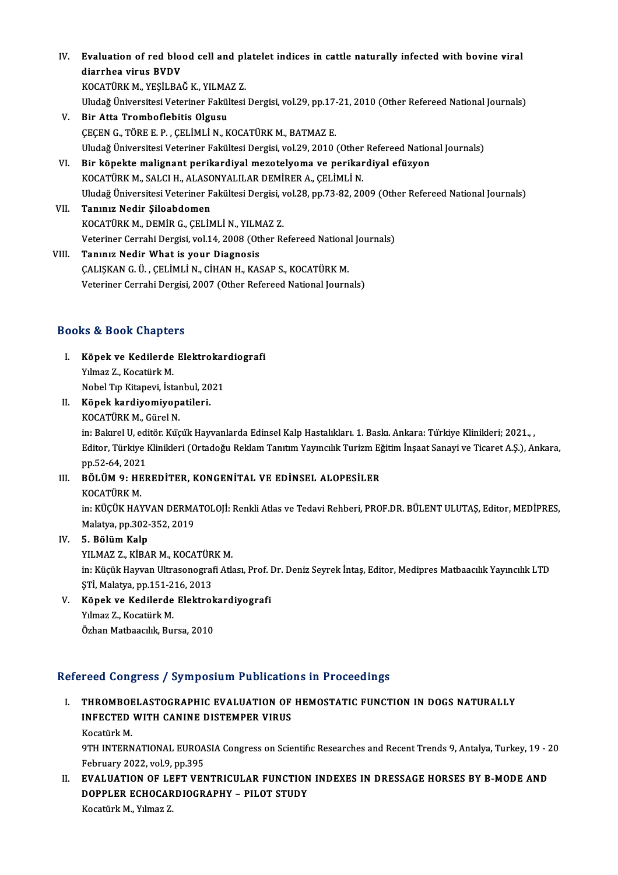IV. Evaluation of red blood cell and platelet indices in cattle naturally infected with bovine viral diarrhea virus BVDV Evaluation of red blood cell and pl<br>diarrhea virus BVDV<br>KOCATÜRK M., YEŞİLBAĞ K., YILMAZ Z.<br>Uludağ Üniversitesi Veterinar Fakültesi

Uludağ Üniversitesi Veteriner Fakültesi Dergisi, vol.29, pp.17-21, 2010 (Other Refereed National Journals)<br>V. Bir Atta Tromboflebitis Olgusu KOCATÜRK M., YEŞİLBAĞ K., YILMA<br>Uludağ Üniversitesi Veteriner Fakül<br>V. Bir Atta Tromboflebitis Olgusu

- ÇEÇENG.,TÖREE.P. ,ÇELİMLİN.,KOCATÜRKM.,BATMAZ E. Bir Atta Tromboflebitis Olgusu<br>ÇEÇEN G., TÖRE E. P. , ÇELİMLİ N., KOCATÜRK M., BATMAZ E.<br>Uludağ Üniversitesi Veteriner Fakültesi Dergisi, vol.29, 2010 (Other Refereed National Journals)<br>Pir könekte malianant perikardiyal m CECEN G., TÖRE E. P., CELIMLI N., KOCATÜRK M., BATMAZ E.<br>Uludağ Üniversitesi Veteriner Fakültesi Dergisi, vol.29, 2010 (Other Refereed Nation<br>VI. Bir köpekte malignant perikardiyal mezotelyoma ve perikardiyal efüzyon<br>KOCAT Uludağ Üniversitesi Veteriner Fakültesi Dergisi, vol.29, 2010 (Other<br>Bir köpekte malignant perikardiyal mezotelyoma ve perikar<br>KOCATÜRK M., SALCI H., ALASONYALILAR DEMİRER A., ÇELİMLİ N.<br>Uludağ Üniversitesi Veteriner Fakül
- Bir köpekte malignant perikardiyal mezotelyoma ve perikardiyal efüzyon<br>KOCATÜRK M., SALCI H., ALASONYALILAR DEMİRER A., ÇELİMLİ N.<br>Uludağ Üniversitesi Veteriner Fakültesi Dergisi, vol.28, pp.73-82, 2009 (Other Refereed Nat KOCATÜRK M., SALCI H., ALASONYALILAR DEMİRER A., ÇELİMLİ N.<br>Uludağ Üniversitesi Veteriner Fakültesi Dergisi, vol.28, pp.73-82, 20<br>VII. Tanınız Nedir Şiloabdomen<br>KOCATÜRK M., DEMİR G., ÇELİMLİ N., YILMAZ Z.
- Uludağ Üniversitesi Veteriner Fakültesi Dergisi, v<br>Tanınız Nedir Şiloabdomen<br>KOCATÜRK M., DEMİR G., ÇELİMLİ N., YILMAZ Z.<br>Veteriner Cerrebi Dergisi vel 14, 2008 (Other P. Veteriner Cerrahi Dergisi, vol.14, 2008 (Other Refereed National Journals)
- VIII. Tanınız Nedir What is your Diagnosis Veteriner Cerrahi Dergisi, vol.14, 2008 (Other Refereed Nationa<br>Tanınız Nedir What is your Diagnosis<br>ÇALIŞKAN G. Ü. , ÇELİMLİ N., CİHAN H., KASAP S., KOCATÜRK M.<br>Veteriner Cerrahi Dergisi 3007 (Other Pefereed National Jeur Tanınız Nedir What is your Diagnosis<br>ÇALIŞKAN G. Ü. , ÇELİMLİ N., CİHAN H., KASAP S., KOCATÜRK M.<br>Veteriner Cerrahi Dergisi, 2007 (Other Refereed National Journals) Veteriner Cerrahi Dergisi, 2007 (Other Refereed National Journals)<br>Books & Book Chapters

- ooks & Book Chapters<br>I. Köpek ve Kedilerde Elektrokardiografi<br>Kilmas 7. Kosatürk M Yalmaz Z., Kocatürk<br>Köpek ve Kedilerde<br>Yılmaz Z., Kocatürk M.<br>Nobel Tın Kitanevi, İst Köpek ve Kedilerde Elektrokar<br>Yılmaz Z., Kocatürk M.<br>Nobel Tıp Kitapevi, İstanbul, 2021<br>Könek kardiyemiyenatileri Yılmaz Z., Kocatürk M.<br>Nobel Tıp Kitapevi, İstanbul, 20<br>II. Köpek kardiyomiyopatileri.<br>KOCATÜPK M. Gürel N. Nobel Tıp Kitapevi, İsta<mark>ı</mark><br>**Köpek kardiyomiyop**:<br>KOCATÜRK M., Gürel N.<br>in: Pelarel U. editör Küç
- 

KOCATÜRK M., Gürel N.<br>in: Bakırel U, editör. Küçük Hayvanlarda Edinsel Kalp Hastalıkları. 1. Baskı. Ankara: Türkiye Klinikleri; 2021., , KOCATÜRK M., Gürel N.<br>in: Bakırel U, editör. Küçük Hayvanlarda Edinsel Kalp Hastalıkları. 1. Baskı. Ankara: Türkiye Klinikleri; 2021.,<br>Editor, Türkiye Klinikleri (Ortadoğu Reklam Tanıtım Yayıncılık Turizm Eğitim İnşaat San in: Bakırel U, edi<br>Editor, Türkiye I<br>pp.52-64, 2021<br>PÖLÜM O. UEE Editor, Türkiye Klinikleri (Ortadoğu Reklam Tanıtım Yayıncılık Turizm Eğ<br>pp.52-64, 2021<br>III. BÖLÜM 9: HEREDİTER, KONGENİTAL VE EDİNSEL ALOPESİLER<br>KOCATÜPK M

pp.52-64, 2021<br>III. BÖLÜM 9: HEREDİTER, KONGENİTAL VE EDİNSEL ALOPESİLER<br>KOCATÜRK M.

BÖLÜM 9: HEREDİTER, KONGENİTAL VE EDİNSEL ALOPESİLER<br>KOCATÜRK M.<br>in: KÜÇÜK HAYVAN DERMATOLOJİ: Renkli Atlas ve Tedavi Rehberi, PROF.DR. BÜLENT ULUTAŞ, Editor, MEDİPRES,<br>Malatıra np.202,252,2019. KOCATÜRK M.<br>in: KÜÇÜK HAYVAN DERMA<br>Malatya, pp.302-352, 2019<br>E. Bölüm Keln Malatya, pp.302-352, 2019<br>IV. 5. Bölüm Kalp

YILMAZ Z., KİBAR M., KOCATÜRK M.

5. Bölüm Kalp<br>YILMAZ Z., KİBAR M., KOCATÜRK M.<br>in: Küçük Hayvan Ultrasonografi Atlası, Prof. Dr. Deniz Seyrek İntaş, Editor, Medipres Matbaacılık Yayıncılık LTD<br>STİ. Malatya pp.151.216.2012 YILMAZ Z., KİBAR M., KOCATÜR<br>in: Küçük Hayvan Ultrasonograf<br>ŞTİ, Malatya, pp.151-216, 2013<br>Könek ve Kedilerde Elektral in: Küçük Hayvan Ultrasonografi Atlası, Prof. I<br>ŞTİ, Malatya, pp.151-216, 2013<br>V. Köpek ve Kedilerde Elektrokardiyografi<br>V. Yumar 7. Kosatürk M

ŞTİ, Malatya, pp.151-216, 2013<br>Köpek ve Kedilerde Elektrol<br>Yılmaz Z., Kocatürk M.<br>Özhan Matbaacılık, Bursa, 2010 Köpek ve Kedilerde Elektrok<br>Yılmaz Z., Kocatürk M.<br>Özhan Matbaacılık, Bursa, 2010

### Refereed Congress / Symposium Publications in Proceedings

efereed Congress / Symposium Publications in Proceedings<br>I. THROMBOELASTOGRAPHIC EVALUATION OF HEMOSTATIC FUNCTION IN DOGS NATURALLY ISSUE COMPLESS / SYMPOSIUM I USHEUND<br>THROMBOELASTOGRAPHIC EVALUATION OF<br>INFECTED WITH CANINE DISTEMPER VIRUS THROMBOE<br>INFECTED<br>Kocatürk M.<br>OTH INTERN INFECTED WITH CANINE DISTEMPER VIRUS<br>Kocatürk M.<br>9TH INTERNATIONAL EUROASIA Congress on Scientific Researches and Recent Trends 9, Antalya, Turkey, 19 - 20<br>February 2022, vol.9, pp.395

Kocatürk M.<br>9TH INTERNATIONAL EUROA<br>February 2022, vol.9, pp.395<br>EVALUATION OF LEET VEN 9TH INTERNATIONAL EUROASIA Congress on Scientific Researches and Recent Trends 9, Antalya, Turkey, 19 - 2<br>February 2022, vol.9, pp.395<br>II. EVALUATION OF LEFT VENTRICULAR FUNCTION INDEXES IN DRESSAGE HORSES BY B-MODE AND<br>DO

February 2022, vol.9, pp.395<br>EVALUATION OF LEFT VENTRICULAR FUNCTION<br>DOPPLER ECHOCARDIOGRAPHY – PILOT STUDY<br>Kosatürk M. Yılmaz 7 EVALUATION OF LE<br>DOPPLER ECHOCAR<br>Kocatürk M., Yılmaz Z.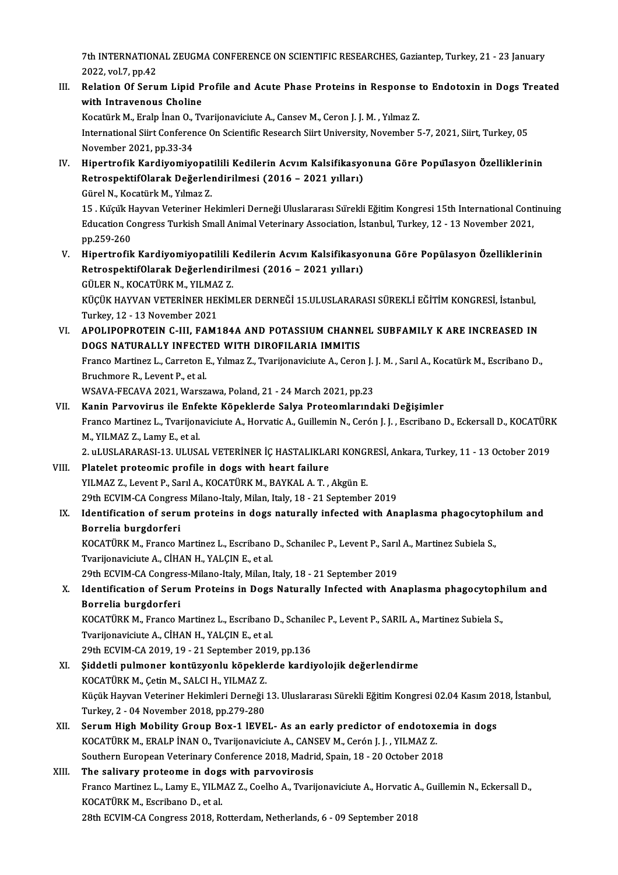7th INTERNATIONAL ZEUGMA CONFERENCE ON SCIENTIFIC RESEARCHES, Gaziantep, Turkey, 21 - 23 January<br>2022 -vel.7, pp.43 2022, vol.7, pp.42<br>2022, vol.7, pp.42<br>Relation Of Serv Th INTERNATIONAL ZEUGMA CONFERENCE ON SCIENTIFIC RESEARCHES, Gaziantep, Turkey, 21 - 23 January<br>2022, vol.7, pp.42<br>III. Relation Of Serum Lipid Profile and Acute Phase Proteins in Response to Endotoxin in Dogs Treated<br>with

2022, vol.7, pp.42<br>III. Relation Of Serum Lipid Profile and Acute Phase Proteins in Response to Endotoxin in Dogs Treated<br>with Intravenous Choline Relation Of Serum Lipid Profile and Acute Phase Proteins in Response<br>with Intravenous Choline<br>Kocatürk M., Eralp İnan O., Tvarijonaviciute A., Cansev M., Ceron J. J. M. , Yılmaz Z.<br>International Siirt Conference On Scienti

International Siirt Conference On Scientific Research Siirt University, November 5-7, 2021, Siirt, Turkey, 05<br>November 2021, pp.33-34 Kocatürk M., Eralp İnan O.,<br>International Siirt Conferen<br>November 2021, pp.33-34<br>Hinertrofik Kardiyemiye International Siirt Conference On Scientific Research Siirt University, November 5-7, 2021, Siirt, Turkey, 05<br>November 2021, pp.33-34<br>IV. Hipertrofik Kardiyomiyopatilili Kedilerin Acvım Kalsifikasyonuna Göre Popülasyon Öze

November 2021, pp.33-34<br>Hipertrofik Kardiyomiyopatilili Kedilerin Acvım Kalsifikasyo<br>RetrospektifOlarak Değerlendirilmesi (2016 – 2021 yılları)<br>Gürel N. Keçetürk M. Yılmaz 7 Hipertrofik Kardiyomiyopat<br>RetrospektifOlarak Değerlen<br>Gürel N., Kocatürk M., Yılmaz Z.<br>15. Kücük Hayyan Veteriner He

RetrospektifOlarak Değerlendirilmesi (2016 – 2021 yılları)<br>Gürel N., Kocatürk M., Yılmaz Z.<br>15 . Küçük Hayvan Veteriner Hekimleri Derneği Uluslararası Sürekli Eğitim Kongresi 15th International Continuing<br>Education Congres Gürel N., Kocatürk M., Yılmaz Z.<br>15 . Küçük Hayvan Veteriner Hekimleri Derneği Uluslararası Sürekli Eğitim Kongresi 15th International Cont<br>Education Congress Turkish Small Animal Veterinary Association, İstanbul, Turkey, 15 . Küçük H<br>Education Co<br>pp.259-260<br>Hinertrefik Education Congress Turkish Small Animal Veterinary Association, İstanbul, Turkey, 12 - 13 November 2021,<br>pp.259-260<br>V. Hipertrofik Kardiyomiyopatilili Kedilerin Acvım Kalsifikasyonuna Göre Popülasyon Özelliklerinin<br>Petresp

pp.259-260<br>Hipertrofik Kardiyomiyopatilili Kedilerin Acvım Kalsifikasyo<br>RetrospektifOlarak Değerlendirilmesi (2016 – 2021 yılları)<br>CÜLER N. KOCATÜRK M. YU MAZ 7 Hipertrofik Kardiyomiyopatilili l<br>RetrospektifOlarak Değerlendiri<br>GÜLER N., KOCATÜRK M., YILMAZ Z.<br>VÜCÜV HAYVAN VETERİNER HEVİM RetrospektifOlarak Değerlendirilmesi (2016 – 2021 yılları)<br>GÜLER N., KOCATÜRK M., YILMAZ Z.<br>KÜÇÜK HAYVAN VETERİNER HEKİMLER DERNEĞİ 15.ULUSLARARASI SÜREKLİ EĞİTİM KONGRESİ, İstanbul,<br>Turkay 12, 13 November 2021

GÜLER N., KOCATÜRK M., YILMAZ<br>KÜÇÜK HAYVAN VETERİNER HEI<br>Turkey, 12 - 13 November 2021<br>APOLIPOPPOTEIN G. UL FAM1 KÜÇÜK HAYVAN VETERİNER HEKİMLER DERNEĞİ 15.ULUSLARARASI SÜREKLİ EĞİTİM KONGRESİ, İstanbul,<br>Turkey, 12 - 13 November 2021<br>VI. APOLIPOPROTEIN C-III, FAM184A AND POTASSIUM CHANNEL SUBFAMILY K ARE INCREASED IN

Turkey, 12 - 13 November 2021<br>APOLIPOPROTEIN C-III, FAM184A AND POTASSIUM CHANN<br>DOGS NATURALLY INFECTED WITH DIROFILARIA IMMITIS<br>France Martinez L. Correton E. Vilmez 7. Typrijonoviciute A. Corol VI. APOLIPOPROTEIN C-III, FAM184A AND POTASSIUM CHANNEL SUBFAMILY K ARE INCREASED IN<br>DOGS NATURALLY INFECTED WITH DIROFILARIA IMMITIS<br>Franco Martinez L., Carreton E., Yılmaz Z., Tvarijonaviciute A., Ceron J. J. M., Sarıl A

**DOGS NATURALLY INFECT**<br>Franco Martinez L., Carreton I<br>Bruchmore R., Levent P., et al.<br>WSAVA EECAVA 2021 WAREZ

WSAVA-FECAVA2021,Warszawa,Poland,21 -24March 2021,pp.23

Bruchmore R., Levent P., et al.<br>WSAVA-FECAVA 2021, Warszawa, Poland, 21 - 24 March 2021, pp.23<br>VII. Kanin Parvovirus ile Enfekte Köpeklerde Salya Proteomlarındaki Değişimler<br>Franço Martinoz I., Tuarijonavisiyle A. Horvatis WSAVA-FECAVA 2021, Warszawa, Poland, 21 - 24 March 2021, pp.23<br>**Kanin Parvovirus ile Enfekte Köpeklerde Salya Proteomlarındaki Değişimler**<br>Franco Martinez L., Tvarijonaviciute A., Horvatic A., Guillemin N., Cerón J. J. , E Kanin Parvovirus ile Enfe<br>Franco Martinez L., Tvarijon<br>M., YILMAZ Z., Lamy E., et al.<br>2. ul USLARARASL 12. ULUS Franco Martinez L., Tvarijonaviciute A., Horvatic A., Guillemin N., Cerón J. J. , Escribano D., Eckersall D., KOCATÜRI<br>M., YILMAZ Z., Lamy E., et al.<br>2. uLUSLARARASI-13. ULUSAL VETERİNER İÇ HASTALIKLARI KONGRESİ, Ankara, T

M., YILMAZ Z., Lamy E., et al.<br>2. uLUSLARARASI-13. ULUSAL VETERİNER İÇ HASTALIKLARI KONGRESİ, Ankara, Turkey, 11 - 13 October 2019<br>19. VIII. Platelet proteomic profile in dogs with heart failure

- YILMAZ Z., Levent P., Sarıl A., KOCATÜRK M., BAYKAL A. T., Akgün E. Platelet proteomic profile in dogs with heart failure<br>29th ECVIM-CA Congress Milano-Italy, Milan, Italy, 18 - 21 September 2019<br>29th ECVIM-CA Congress Milano-Italy, Milan, Italy, 18 - 21 September 2019<br>Identification of se YILMAZ Z., Levent P., Sarıl A., KOCATÜRK M., BAYKAL A. T. , Akgün E.<br>29th ECVIM-CA Congress Milano-Italy, Milan, Italy, 18 - 21 September 2019<br>IX. Identification of serum proteins in dogs naturally infected with Anaplasma
- 29th ECVIM-CA Congres<br>Identification of seru<br>Borrelia burgdorferi<br>KOCATÜPK M. Erange N Identification of serum proteins in dogs naturally infected with Anaplasma phagocytop.<br>Borrelia burgdorferi<br>KOCATÜRK M., Franco Martinez L., Escribano D., Schanilec P., Levent P., Sarıl A., Martinez Subiela S.,<br>Tyarijonavi

Borrelia burgdorferi<br>KOCATÜRK M., Franco Martinez L., Escribano<br>Tvarijonaviciute A., CİHAN H., YALÇIN E., et al.<br>20th ECVIM CA Congress Milane Italy Milan I KOCATÜRK M., Franco Martinez L., Escribano D., Schanilec P., Levent P., Sarıl<br>Tvarijonaviciute A., CİHAN H., YALÇIN E., et al.<br>29th ECVIM-CA Congress-Milano-Italy, Milan, Italy, 18 - 21 September 2019<br>Identification of Sen

29th ECVIM-CA Congress-Milano-Italy, Milan, Italy, 18 - 21 September 2019

# Tvarijonaviciute A., CİHAN H., YALÇIN E., et al.<br>29th ECVIM-CA Congress-Milano-Italy, Milan, Italy, 18 - 21 September 2019<br>X. Identification of Serum Proteins in Dogs Naturally Infected with Anaplasma phagocytophilum and<br>B Identification of Serum Proteins in Dogs Naturally Infected with Anaplasma phagocytoph<br>Borrelia burgdorferi<br>KOCATÜRK M., Franco Martinez L., Escribano D., Schanilec P., Levent P., SARIL A., Martinez Subiela S.,<br>Tyarlionavi

Tvarijonaviciute A., CİHAN H., YALÇIN E., et al.<br>29th ECVIM-CA 2019, 19 - 21 September 2019, pp.136 KOCATÜRK M., Franco Martinez L., Escribano D., Schani<br>Tvarijonaviciute A., CİHAN H., YALÇIN E., et al.<br>29th ECVIM-CA 2019, 19 - 21 September 2019, pp.136<br>Siddetli pulmanar kantüzyanlu köneklerde kardi

- Tvarijonaviciute A., CİHAN H., YALÇIN E., et al.<br>29th ECVIM-CA 2019, 19 21 September 2019, pp.136<br>XI. §iddetli pulmoner kontüzyonlu köpeklerde kardiyolojik değerlendirme<br>KOCATÜPK M. Cotin M. SALCH, XII MAZ Z 29th ECVIM-CA 2019, 19 - 21 September 201<br>**Şiddetli pulmoner kontüzyonlu köpekle**<br>KOCATÜRK M., Çetin M., SALCI H., YILMAZ Z.<br>Küçük Hayyan Veteriner Hakimleri Derneği Küçük Hayvan Veteriner Hekimleri Derneği 13. Uluslararası Sürekli Eğitim Kongresi 02.04 Kasım 2018, İstanbul,<br>Turkey, 2 - 04 November 2018, pp.279-280 KOCATÜRK M., Cetin M., SALCI H., YILMAZ Z. Küçük Hayvan Veteriner Hekimleri Derneği 13. Uluslararası Sürekli Eğitim Kongresi 02.04 Kasım 20<br>Turkey, 2 - 04 November 2018, pp.279-280<br>XII. Serum High Mobility Group Box-1 lEVEL- As an early predictor of endotoxemia in
- Turkey, 2 04 November 2018, pp.279-280<br>Serum High Mobility Group Box-1 IEVEL- As an early predictor of endotox<br>KOCATÜRK M., ERALP İNAN O., Tvarijonaviciute A., CANSEV M., Cerón J. J. , YILMAZ Z.<br>Seuthern European Veterin Serum High Mobility Group Box-1 lEVEL- As an early predictor of endotoxen<br>KOCATÜRK M., ERALP İNAN O., Tvarijonaviciute A., CANSEV M., Cerón J. J. , YILMAZ Z.<br>Southern European Veterinary Conference 2018, Madrid, Spain, 18 KOCATÜRK M., ERALP İNAN O., Tvarijonaviciute A., CAN.<br>Southern European Veterinary Conference 2018, Madri<br>XIII. The salivary proteome in dogs with parvovirosis<br>France Martinez L. Lamu E. XII MAZ Z. Coelho A. Typri

## Southern European Veterinary Conference 2018, Madrid, Spain, 18 - 20 October 2018<br>The salivary proteome in dogs with parvovirosis<br>Franco Martinez L., Lamy E., YILMAZ Z., Coelho A., Tvarijonaviciute A., Horvatic A., Guillem The salivary proteome in dog:<br>Franco Martinez L., Lamy E., YILM<br>KOCATÜRK M., Escribano D., et al.<br>29th ECVIM CA Congress 2019, P.

28th ECVIM-CA Congress 2018, Rotterdam, Netherlands, 6 - 09 September 2018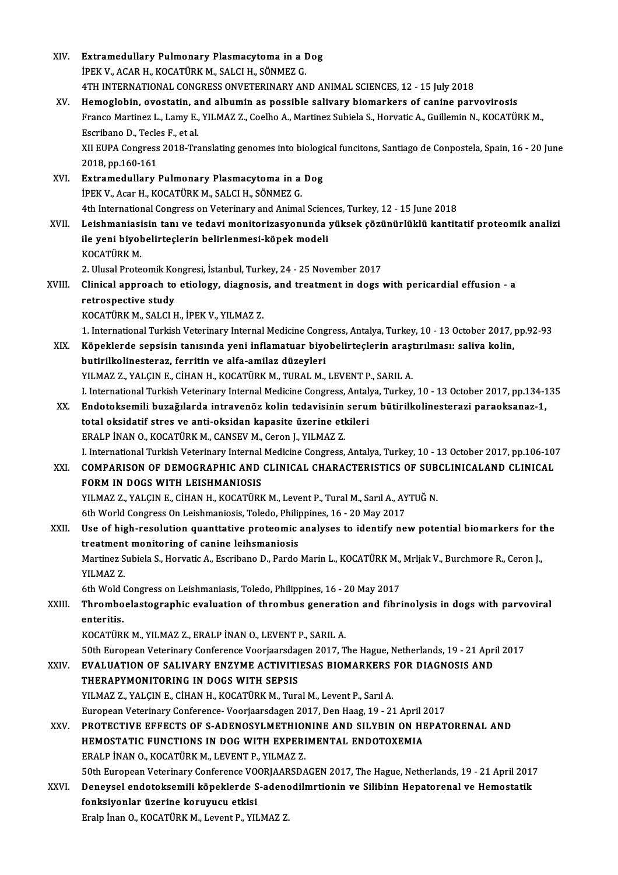| XIV.   | Extramedullary Pulmonary Plasmacytoma in a Dog                                                                    |
|--------|-------------------------------------------------------------------------------------------------------------------|
|        | İPEK V., ACAR H., KOCATÜRK M., SALCI H., SÖNMEZ G.                                                                |
|        | 4TH INTERNATIONAL CONGRESS ONVETERINARY AND ANIMAL SCIENCES, 12 - 15 July 2018                                    |
| XV.    | Hemoglobin, ovostatin, and albumin as possible salivary biomarkers of canine parvovirosis                         |
|        | Franco Martinez L., Lamy E., YILMAZ Z., Coelho A., Martinez Subiela S., Horvatic A., Guillemin N., KOCATÜRK M.,   |
|        | Escribano D., Tecles F., et al.                                                                                   |
|        | XII EUPA Congress 2018-Translating genomes into biological funcitons, Santiago de Conpostela, Spain, 16 - 20 June |
|        | 2018, pp 160-161                                                                                                  |
| XVI.   | Extramedullary Pulmonary Plasmacytoma in a Dog                                                                    |
|        | İPEK V., Acar H., KOCATÜRK M., SALCI H., SÖNMEZ G.                                                                |
|        | 4th International Congress on Veterinary and Animal Sciences, Turkey, 12 - 15 June 2018                           |
| XVII.  | Leishmaniasisin tanı ve tedavi monitorizasyonunda yüksek çözünürlüklü kantitatif proteomik analizi                |
|        | ile yeni biyobelirteçlerin belirlenmesi-köpek modeli                                                              |
|        | KOCATÜRK M                                                                                                        |
|        | 2. Ulusal Proteomik Kongresi, İstanbul, Turkey, 24 - 25 November 2017                                             |
| XVIII. | Clinical approach to etiology, diagnosis, and treatment in dogs with pericardial effusion - a                     |
|        | retrospective study                                                                                               |
|        | KOCATÜRK M., SALCI H., İPEK V., YILMAZ Z.                                                                         |
|        | 1. International Turkish Veterinary Internal Medicine Congress, Antalya, Turkey, 10 - 13 October 2017, pp.92-93   |
| XIX.   | Köpeklerde sepsisin tanısında yeni inflamatuar biyobelirteçlerin araştırılması: saliva kolin,                     |
|        | butirilkolinesteraz, ferritin ve alfa-amilaz düzeyleri                                                            |
|        | YILMAZ Z., YALÇIN E., CİHAN H., KOCATÜRK M., TURAL M., LEVENT P., SARIL A.                                        |
|        | I. International Turkish Veterinary Internal Medicine Congress, Antalya, Turkey, 10 - 13 October 2017, pp.134-135 |
| XX.    | Endotoksemili buzağılarda intravenöz kolin tedavisinin serum bütirilkolinesterazi paraoksanaz-1,                  |
|        | total oksidatif stres ve anti-oksidan kapasite üzerine etkileri                                                   |
|        | ERALP İNAN O., KOCATÜRK M., CANSEV M., Ceron J., YILMAZ Z.                                                        |
|        | I. International Turkish Veterinary Internal Medicine Congress, Antalya, Turkey, 10 - 13 October 2017, pp.106-107 |
| XXI.   | COMPARISON OF DEMOGRAPHIC AND CLINICAL CHARACTERISTICS OF SUBCLINICALAND CLINICAL                                 |
|        | FORM IN DOGS WITH LEISHMANIOSIS                                                                                   |
|        | YILMAZ Z., YALÇIN E., CİHAN H., KOCATÜRK M., Levent P., Tural M., Sarıl A., AYTUĞ N.                              |
|        | 6th World Congress On Leishmaniosis, Toledo, Philippines, 16 - 20 May 2017                                        |
| XXII.  | Use of high-resolution quanttative proteomic analyses to identify new potential biomarkers for the                |
|        | treatment monitoring of canine leihsmaniosis                                                                      |
|        | Martinez Subiela S., Horvatic A., Escribano D., Pardo Marin L., KOCATÜRK M., Mrljak V., Burchmore R., Ceron J.,   |
|        | YILMAZ Z.                                                                                                         |
|        | 6th Wold Congress on Leishmaniasis, Toledo, Philippines, 16 - 20 May 2017                                         |
| XXIII. | Thromboelastographic evaluation of thrombus generation and fibrinolysis in dogs with parvoviral                   |
|        | enteritis.                                                                                                        |
|        | KOCATÜRK M., YILMAZ Z., ERALP İNAN O., LEVENT P., SARIL A.                                                        |
|        | 50th European Veterinary Conference Voorjaarsdagen 2017, The Hague, Netherlands, 19 - 21 April 2017               |
| XXIV.  | EVALUATION OF SALIVARY ENZYME ACTIVITIESAS BIOMARKERS FOR DIAGNOSIS AND                                           |
|        | THERAPYMONITORING IN DOGS WITH SEPSIS                                                                             |
|        | YILMAZ Z., YALÇIN E., CİHAN H., KOCATÜRK M., Tural M., Levent P., Sarıl A.                                        |
|        | European Veterinary Conference-Voorjaarsdagen 2017, Den Haag, 19 - 21 April 2017                                  |
| XXV.   | PROTECTIVE EFFECTS OF S-ADENOSYLMETHIONINE AND SILYBIN ON HEPATORENAL AND                                         |
|        | HEMOSTATIC FUNCTIONS IN DOG WITH EXPERIMENTAL ENDOTOXEMIA                                                         |
|        | ERALP İNAN O., KOCATÜRK M., LEVENT P., YILMAZ Z.                                                                  |
|        | 50th European Veterinary Conference VOORJAARSDAGEN 2017, The Hague, Netherlands, 19 - 21 April 2017               |
| XXVI.  | Deneysel endotoksemili köpeklerde S-adenodilmrtionin ve Silibinn Hepatorenal ve Hemostatik                        |
|        | fonksiyonlar üzerine koruyucu etkisi                                                                              |
|        | Eralp İnan O., KOCATÜRK M., Levent P., YILMAZ Z.                                                                  |
|        |                                                                                                                   |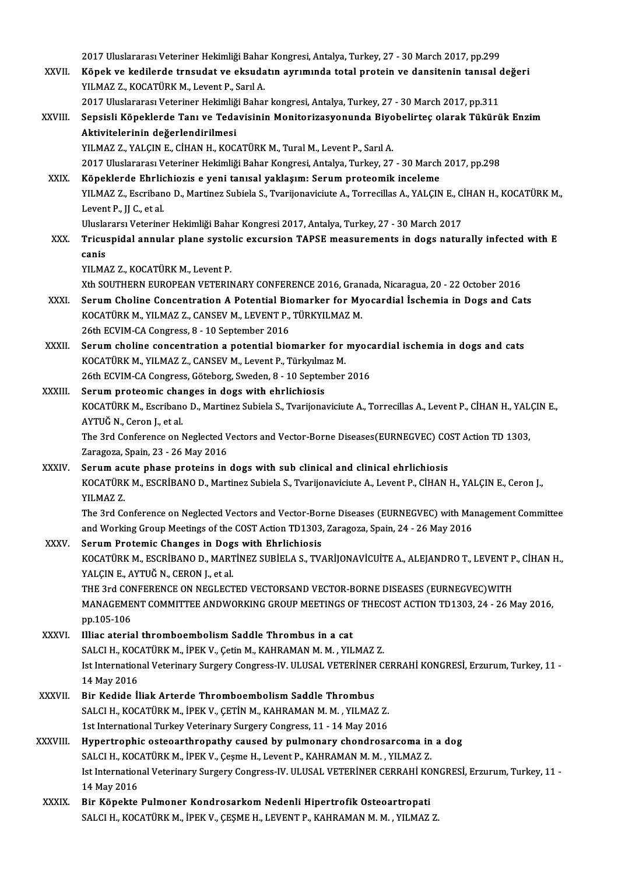2017 Uluslararası Veteriner Hekimliği Bahar Kongresi, Antalya, Turkey, 27 - 30 March 2017, pp.299<br>Könek ve kadilende tunaudat ve eksudatın eynumuda tetel pretsin ve dansitenin tanısal d 2017 Uluslararası Veteriner Hekimliği Bahar Kongresi, Antalya, Turkey, 27 - 30 March 2017, pp.299<br>XXVII. Köpek ve kedilerde trnsudat ve eksudatın ayrımında total protein ve dansitenin tanısal değeri 2017 Uluslararası Veteriner Hekimliği Bahaı<br>Köpek ve kedilerde trnsudat ve eksuda<br>YILMAZ Z., KOCATÜRK M., Levent P., Sarıl A.<br>2017 Uluslararası Veteriner Hekimliği Bahaı Köpek ve kedilerde trnsudat ve eksudatın ayrımında total protein ve dansitenin tanısal o<br>2017 Uluslararası Veteriner Hekimliği Bahar kongresi, Antalya, Turkey, 27 - 30 March 2017, pp.311<br>Sensiali Könaklarda Tanı ve Tedevis YILMAZ Z., KOCATÜRK M., Levent P., Sarıl A.<br>2017 Uluslararası Veteriner Hekimliği Bahar kongresi, Antalya, Turkey, 27 - 30 March 2017, pp.311<br>XXVIII. Sepsisli Köpeklerde Tanı ve Tedavisinin Monitorizasyonunda Biyobelirte 2017 Uluslararası Veteriner Hekimliği Bahar kongresi, Antalya, Turkey, 27 - 30 March 2017, pp.311 YILMAZ Z., YALÇIN E., CİHAN H., KOCATÜRK M., Tural M., Levent P., Sarıl A. 2017UluslararasıVeterinerHekimliğiBaharKongresi,Antalya,Turkey,27 -30March 2017,pp.298 XXIX. Köpeklerde Ehrlichiozis e yeni tanısal yaklaşım: Serumproteomik inceleme 2017 Uluslararası Veteriner Hekimliği Bahar Kongresi, Antalya, Turkey, 27 - 30 March 2017, pp.298<br><mark>Köpeklerde Ehrlichiozis e yeni tanısal yaklaşım: Serum proteomik inceleme</mark><br>YILMAZ Z., Escribano D., Martinez Subiela S., Tv K<mark>öpeklerde Ehrlid</mark><br>YILMAZ Z., Escriban<br>Levent P., JJ C., et al.<br>Uluslarars: Veterine YILMAZ Z., Escribano D., Martinez Subiela S., Tvarijonaviciute A., Torrecillas A., YALÇIN E., C.<br>Levent P., JJ C., et al.<br>Uluslararsı Veteriner Hekimliği Bahar Kongresi 2017, Antalya, Turkey, 27 - 30 March 2017<br>Triquenidal Levent P., JJ C., et al.<br>Uluslararsı Veteriner Hekimliği Bahar Kongresi 2017, Antalya, Turkey, 27 - 30 March 2017<br>XXX. Tricuspidal annular plane systolic excursion TAPSE measurements in dogs naturally infected with E Ulusla<br>Tricu:<br>canis<br><sup>VII MA</sup> Tricuspidal annular plane systo<br>canis<br>YILMAZ Z., KOCATÜRK M., Levent P.<br>Yth SOUTHEPN EUROPEAN VETERIN canis<br>YILMAZ Z., KOCATÜRK M., Levent P.<br>Xth SOUTHERN EUROPEAN VETERINARY CONFERENCE 2016, Granada, Nicaragua, 20 - 22 October 2016<br>Serum Chaline Consentration A Petential Biomerker for Myesendial Isebemia in Degg and Ce YILMAZ Z., KOCATÜRK M., Levent P.<br>Xth SOUTHERN EUROPEAN VETERINARY CONFERENCE 2016, Granada, Nicaragua, 20 - 22 October 2016<br>XXXI. Serum Choline Concentration A Potential Biomarker for Myocardial İschemia in Dogs and Cats<br> Xth SOUTHERN EUROPEAN VETERINARY CONFERENCE 2016, Gran<br>Serum Choline Concentration A Potential Biomarker for My<br>KOCATÜRK M., YILMAZ Z., CANSEV M., LEVENT P., TÜRKYILMAZ M.<br>26th ECVIM CA CORTRES 8 - 10 Sentember 2016 26th ECVIM-CA Congress, 8 - 10 September 2016 KOCATÜRK M., YILMAZ Z., CANSEV M., LEVENT P., TÜRKYILMAZ M.<br>26th ECVIM-CA Congress, 8 - 10 September 2016<br>XXXII. Serum choline concentration a potential biomarker for myocardial ischemia in dogs and cats<br>XOCATÜR M. VILMAZ 26th ECVIM-CA Congress, 8 - 10 September 2016<br>Serum choline concentration a potential biomarker for<br>KOCATÜRK M., YILMAZ Z., CANSEV M., Levent P., Türkyılmaz M.<br>26th ECVIM CA Congress, Göteberg, Sueden, 8 - 10 September Serum choline concentration a potential biomarker for myoc:<br>KOCATÜRK M., YILMAZ Z., CANSEV M., Levent P., Türkyılmaz M.<br>26th ECVIM-CA Congress, Göteborg, Sweden, 8 - 10 September 2016<br>Serum proteomis shanges in dogs with o KOCATÜRK M., YILMAZ Z., CANSEV M., Levent P., Türkyılma<br>26th ECVIM-CA Congress, Göteborg, Sweden, 8 - 10 Septen<br>XXXIII. Serum proteomic changes in dogs with ehrlichiosis<br>XOCATÜRY M. Escribano D. Martiner Subjele S. Tyarijo 26th ECVIM-CA Congress, Göteborg, Sweden, 8 - 10 September 2016<br>Serum proteomic changes in dogs with ehrlichiosis<br>KOCATÜRK M., Escribano D., Martinez Subiela S., Tvarijonaviciute A., Torrecillas A., Levent P., CİHAN H., YA Serum proteomic chai<br>KOCATÜRK M., Escribano<br>AYTUĞ N., Ceron J., et al.<br>The <sup>2</sup>rd Conference on <sup>1</sup> KOCATÜRK M., Escribano D., Martinez Subiela S., Tvarijonaviciute A., Torrecillas A., Levent P., CİHAN H., YAL<br>AYTUĞ N., Ceron J., et al.<br>The 3rd Conference on Neglected Vectors and Vector-Borne Diseases(EURNEGVEC) COST Act AYTUĞ N., Ceron J., et al.<br>The 3rd Conference on Neglected V<br>Zaragoza, Spain, 23 - 26 May 2016<br>Serum agute phase proteins in The 3rd Conference on Neglected Vectors and Vector-Borne Diseases (EURNEGVEC) CO<br>Zaragoza, Spain, 23 - 26 May 2016<br>XXXIV. Serum acute phase proteins in dogs with sub clinical and clinical ehrlichiosis<br>VOCATURY M. ESCRUPANO Zaragoza, Spain, 23 - 26 May 2016<br>Serum acute phase proteins in dogs with sub clinical and clinical ehrlichiosis<br>KOCATÜRK M., ESCRİBANO D., Martinez Subiela S., Tvarijonaviciute A., Levent P., CİHAN H., YALÇIN E., Ceron J. Serum ac<br>KOCATÜRI<br>YILMAZ Z.<br>The <sup>2nd Co</sup> KOCATÜRK M., ESCRİBANO D., Martinez Subiela S., Tvarijonaviciute A., Levent P., CİHAN H., YALÇIN E., Ceron J.,<br>YILMAZ Z.<br>The 3rd Conference on Neglected Vectors and Vector-Borne Diseases (EURNEGVEC) with Management Committ YILMAZ Z.<br>The 3rd Conference on Neglected Vectors and Vector-Borne Diseases (EURNEGVEC) with Ma:<br>and Working Group Meetings of the COST Action TD1303, Zaragoza, Spain, 24 - 26 May 2016<br>Serum Protemis Changes in Dege with E The 3rd Conference on Neglected Vectors and Vector-Bor<br>and Working Group Meetings of the COST Action TD1303,<br>XXXV. Serum Protemic Changes in Dogs with Ehrlichiosis<br>VOCATUREM ESCRIBANO D. MARTINEZ SURIELA S. TV. and Working Group Meetings of the COST Action TD1303, Zaragoza, Spain, 24 - 26 May 2016<br>Serum Protemic Changes in Dogs with Ehrlichiosis<br>KOCATÜRK M., ESCRİBANO D., MARTİNEZ SUBİELA S., TVARİJONAVİCUİTE A., ALEJANDRO T., LE Serum Protemic Changes in Dogs with Ehrlichiosis<br>KOCATÜRK M., ESCRİBANO D., MARTİNEZ SUBİELA S., TVARİJONAVİCUİTE A., ALEJANDRO T., LEVENT I<br>YALÇIN E., AYTUĞ N., CERON J., et al.<br>THE 3rd CONFERENCE ON NEGLECTED VECTORSAND KOCATÜRK M., ESCRİBANO D., MARTİNEZ SUBİELA S., TVARİJONAVİCUİTE A., ALEJANDRO T., LEVENT P<br>YALÇIN E., AYTUĞ N., CERON J., et al.<br>THE 3rd CONFERENCE ON NEGLECTED VECTORSAND VECTOR-BORNE DISEASES (EURNEGVEC)WITH<br>MANACEMENT YALÇIN E., AYTUĞ N., CERON J., et al.<br>THE 3rd CONFERENCE ON NEGLECTED VECTORSAND VECTOR-BORNE DISEASES (EURNEGVEC)WITH<br>MANAGEMENT COMMITTEE ANDWORKING GROUP MEETINGS OF THECOST ACTION TD1303, 24 - 26 May 2016,<br>pp.105-106 THE 3rd COI<br>MANAGEME<br>pp.105-106<br>Illiac atoria MANAGEMENT COMMITTEE ANDWORKING GROUP MEETINGS O<br>pp.105-106<br>XXXVI. Illiac aterial thromboembolism Saddle Thrombus in a cat<br>SALCLH KOCATUREM JREEVY Cotin M, KAHRAMAN M, VII pp.105-106<br>Illiac aterial thromboembolism Saddle Thrombus in a cat<br>SALCI H., KOCATÜRK M., İPEK V., Çetin M., KAHRAMAN M. M. , YILMAZ Z. Illiac aterial thromboembolism Saddle Thrombus in a cat<br>SALCI H., KOCATÜRK M., İPEK V., Çetin M., KAHRAMAN M. M. , YILMAZ Z.<br>Ist International Veterinary Surgery Congress-IV. ULUSAL VETERİNER CERRAHİ KONGRESİ, Erzurum, Tur SALCI H., KOC.<br>Ist Internation<br>14 May 2016<br>Pir Kodido Il Ist International Veterinary Surgery Congress-IV. ULUSAL VETERINER<br>14 May 2016<br>XXXVII. Bir Kedide İliak Arterde Thromboembolism Saddle Thrombus<br>SALCLH KOCATÜRKM İREK V. CETİN M. KAHRAMAN M.M. XILMAZ 14 May 2016<br>Bir Kedide İliak Arterde Thromboembolism Saddle Thrombus<br>SALCI H., KOCATÜRK M., İPEK V., ÇETİN M., KAHRAMAN M. M. , YILMAZ Z.<br>1st International Turkey Veterinew: Surgery Congrees 11 - 14 Mey 2016 Bir Kedide İliak Arterde Thromboembolism Saddle Thrombus<br>SALCI H., KOCATÜRK M., İPEK V., ÇETİN M., KAHRAMAN M. M. , YILMAZ Z.<br>1st International Turkey Veterinary Surgery Congress, 11 - 14 May 2016<br>Hunottronbis ostooorthron 1st International Turkey Veterinary Surgery Congress, 11 - 14 May 2016<br>XXXVIII. Hypertrophic osteoarthropathy caused by pulmonary chondrosarcoma in a dog

- 1st International Turkey Veterinary Surgery Congress, 11 14 May 2016<br>Hypertrophic osteoarthropathy caused by pulmonary chondrosarcoma in<br>SALCI H., KOCATÜRK M., İPEK V., Çeşme H., Levent P., KAHRAMAN M. M. , YILMAZ Z.<br>Ist Hypertrophic osteoarthropathy caused by pulmonary chondrosarcoma in a dog<br>SALCI H., KOCATÜRK M., İPEK V., Çeşme H., Levent P., KAHRAMAN M. M. , YILMAZ Z.<br>Ist International Veterinary Surgery Congress-IV. ULUSAL VETERİNER C SALCI H., KOC.<br>Ist Internation<br>14 May 2016<br>Pin Käneltte Ist International Veterinary Surgery Congress-IV. ULUSAL VETERINER CERRAHI KO<br>14 May 2016<br>XXXIX. Bir Köpekte Pulmoner Kondrosarkom Nedenli Hipertrofik Osteoartropati
- 14 May 2016<br>Bir Köpekte Pulmoner Kondrosarkom Nedenli Hipertrofik Osteoartropati<br>SALCI H., KOCATÜRK M., İPEK V., ÇEŞME H., LEVENT P., KAHRAMAN M. M. , YILMAZ Z.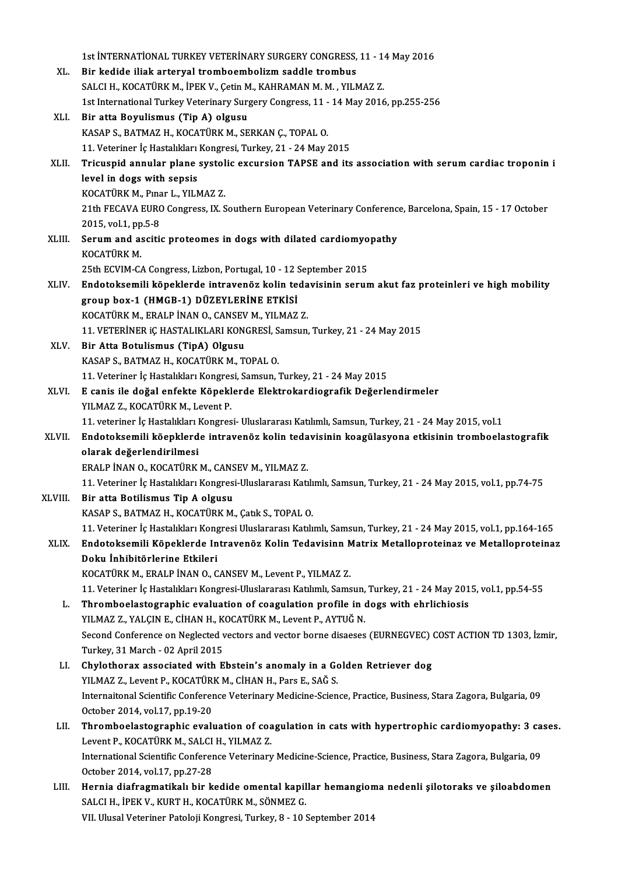|         | 1st INTERNATIONAL TURKEY VETERINARY SURGERY CONGRESS, 11 - 14 May 2016                                                                           |
|---------|--------------------------------------------------------------------------------------------------------------------------------------------------|
| XL.     | Bir kedide iliak arteryal tromboembolizm saddle trombus                                                                                          |
|         | SALCI H., KOCATÜRK M., İPEK V., Çetin M., KAHRAMAN M. M. , YILMAZ Z.                                                                             |
|         | 1st International Turkey Veterinary Surgery Congress, 11 - 14 May 2016, pp.255-256                                                               |
| XLI.    | Bir atta Boyulismus (Tip A) olgusu                                                                                                               |
|         | KASAP S., BATMAZ H., KOCATÜRK M., SERKAN Ç., TOPAL O.                                                                                            |
|         | 11. Veteriner İç Hastalıkları Kongresi, Turkey, 21 - 24 May 2015                                                                                 |
| XLII.   | Tricuspid annular plane systolic excursion TAPSE and its association with serum cardiac troponin i                                               |
|         | level in dogs with sepsis                                                                                                                        |
|         | KOCATÜRK M., Pınar L., YILMAZ Z.                                                                                                                 |
|         | 21th FECAVA EURO Congress, IX. Southern European Veterinary Conference, Barcelona, Spain, 15 - 17 October                                        |
|         | 2015, vol 1, pp 5-8                                                                                                                              |
| XLIII.  | Serum and ascitic proteomes in dogs with dilated cardiomyopathy                                                                                  |
|         | KOCATÜRK M                                                                                                                                       |
|         | 25th ECVIM-CA Congress, Lizbon, Portugal, 10 - 12 September 2015                                                                                 |
| XLIV.   | Endotoksemili köpeklerde intravenöz kolin tedavisinin serum akut faz proteinleri ve high mobility                                                |
|         | group box-1 (HMGB-1) DÜZEYLERINE ETKISI                                                                                                          |
|         | KOCATÜRK M., ERALP İNAN O., CANSEV M., YILMAZ Z.                                                                                                 |
|         | 11. VETERİNER IÇ HASTALIKLARI KONGRESİ, Samsun, Turkey, 21 - 24 May 2015                                                                         |
| XLV.    | Bir Atta Botulismus (TipA) Olgusu                                                                                                                |
|         | KASAP S., BATMAZ H., KOCATÜRK M., TOPAL O.                                                                                                       |
|         | 11. Veteriner İç Hastalıkları Kongresi, Samsun, Turkey, 21 - 24 May 2015                                                                         |
| XLVI.   | E canis ile doğal enfekte Köpeklerde Elektrokardiografik Değerlendirmeler                                                                        |
|         | YILMAZ Z, KOCATÜRK M, Levent P.                                                                                                                  |
|         | 11. veteriner İç Hastalıkları Kongresi- Uluslararası Katılımlı, Samsun, Turkey, 21 - 24 May 2015, vol 1                                          |
| XLVII.  | Endotoksemili köepklerde intravenöz kolin tedavisinin koagülasyona etkisinin tromboelastografik                                                  |
|         | olarak değerlendirilmesi                                                                                                                         |
|         | ERALP İNAN O., KOCATÜRK M., CANSEV M., YILMAZ Z.                                                                                                 |
|         | 11. Veteriner İç Hastalıkları Kongresi-Uluslararası Katılımlı, Samsun, Turkey, 21 - 24 May 2015, vol.1, pp.74-75                                 |
| XLVIII. | Bir atta Botilismus Tip A olgusu                                                                                                                 |
|         | KASAP S., BATMAZ H., KOCATÜRK M., Çatık S., TOPAL O.                                                                                             |
|         | 11. Veteriner İç Hastalıkları Kongresi Uluslararası Katılımlı, Samsun, Turkey, 21 - 24 May 2015, vol.1, pp.164-165                               |
| XLIX.   | Endotoksemili Köpeklerde Intravenöz Kolin Tedavisinn Matrix Metalloproteinaz ve Metalloproteinaz                                                 |
|         | Doku İnhibitörlerine Etkileri                                                                                                                    |
|         | KOCATÜRK M., ERALP İNAN O., CANSEV M., Levent P., YILMAZ Z.                                                                                      |
|         | 11. Veteriner İç Hastalıkları Kongresi-Uluslararası Katılımlı, Samsun, Turkey, 21 - 24 May 2015, vol.1, pp.54-55                                 |
| L.      | Thromboelastographic evaluation of coagulation profile in dogs with ehrlichiosis                                                                 |
|         | YILMAZ Z., YALÇIN E., CİHAN H., KOCATÜRK M., Levent P., AYTUĞ N.                                                                                 |
|         | Second Conference on Neglected vectors and vector borne disaeses (EURNEGVEC) COST ACTION TD 1303, İzmir,                                         |
|         | Turkey, 31 March - 02 April 2015                                                                                                                 |
| LI.     | Chylothorax associated with Ebstein's anomaly in a Golden Retriever dog                                                                          |
|         | YILMAZ Z., Levent P., KOCATÜRK M., CİHAN H., Pars E., SAĞ S.                                                                                     |
|         | Internaitonal Scientific Conference Veterinary Medicine-Science, Practice, Business, Stara Zagora, Bulgaria, 09                                  |
|         | October 2014, vol 17, pp 19-20                                                                                                                   |
| LII.    | Thromboelastographic evaluation of coagulation in cats with hypertrophic cardiomyopathy: 3 cases.<br>Levent P., KOCATÜRK M., SALCI H., YILMAZ Z. |
|         |                                                                                                                                                  |
|         | International Scientific Conference Veterinary Medicine-Science, Practice, Business, Stara Zagora, Bulgaria, 09                                  |
| LIII.   | October 2014, vol 17, pp 27-28<br>Hernia diafragmatikalı bir kedide omental kapillar hemangioma nedenli şilotoraks ve şiloabdomen                |
|         | SALCI H., İPEK V., KURT H., KOCATÜRK M., SÖNMEZ G.                                                                                               |
|         | VII. Ulusal Veteriner Patoloji Kongresi, Turkey, 8 - 10 September 2014                                                                           |
|         |                                                                                                                                                  |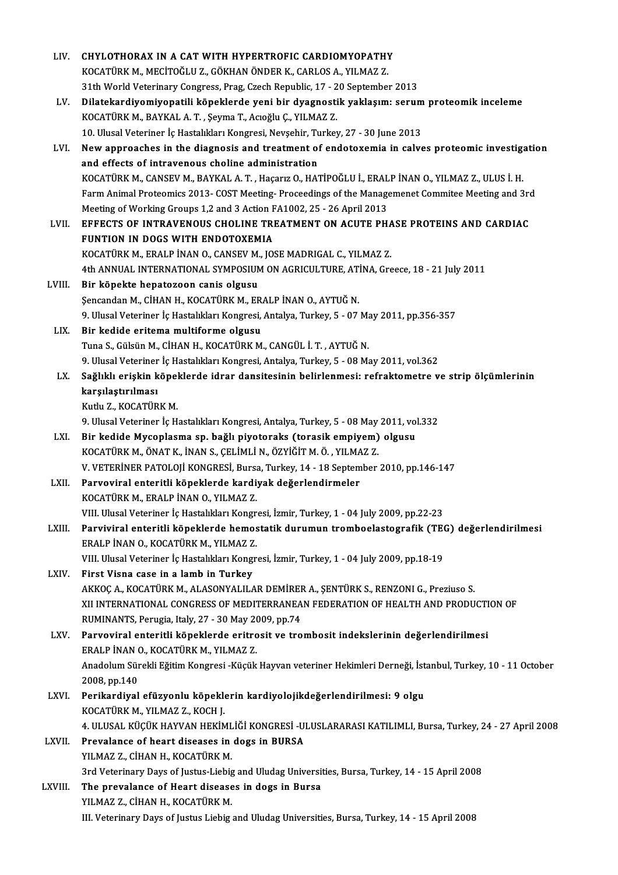| LIV.    | CHYLOTHORAX IN A CAT WITH HYPERTROFIC CARDIOMYOPATHY                                                                                    |
|---------|-----------------------------------------------------------------------------------------------------------------------------------------|
|         | KOCATÜRK M., MECİTOĞLU Z., GÖKHAN ÖNDER K., CARLOS A., YILMAZ Z.                                                                        |
|         | 31th World Veterinary Congress, Prag, Czech Republic, 17 - 20 September 2013                                                            |
| LV.     | Dilatekardiyomiyopatili köpeklerde yeni bir dyagnostik yaklaşım: serum proteomik inceleme                                               |
|         | KOCATÜRK M., BAYKAL A. T., Şeyma T., Acıoğlu Ç., YILMAZ Z.                                                                              |
|         | 10. Ulusal Veteriner İç Hastalıkları Kongresi, Nevşehir, Turkey, 27 - 30 June 2013                                                      |
| LVI.    | New approaches in the diagnosis and treatment of endotoxemia in calves proteomic investigation                                          |
|         | and effects of intravenous choline administration                                                                                       |
|         | KOCATÜRK M., CANSEV M., BAYKAL A. T., Haçarız O., HATİPOĞLU İ., ERALP İNAN O., YILMAZ Z., ULUS İ. H.                                    |
|         | Farm Animal Proteomics 2013- COST Meeting-Proceedings of the Managemenet Commitee Meeting and 3rd                                       |
|         | Meeting of Working Groups 1,2 and 3 Action FA1002, 25 - 26 April 2013                                                                   |
| LVII.   | EFFECTS OF INTRAVENOUS CHOLINE TREATMENT ON ACUTE PHASE PROTEINS AND CARDIAC                                                            |
|         | FUNTION IN DOGS WITH ENDOTOXEMIA                                                                                                        |
|         | KOCATÜRK M., ERALP İNAN O., CANSEV M., JOSE MADRIGAL C., YILMAZ Z.                                                                      |
| LVIII.  | 4th ANNUAL INTERNATIONAL SYMPOSIUM ON AGRICULTURE, ATINA, Greece, 18 - 21 July 2011<br>Bir köpekte hepatozoon canis olgusu              |
|         | Şencandan M., CİHAN H., KOCATÜRK M., ERALP İNAN O., AYTUĞ N.                                                                            |
|         | 9. Ulusal Veteriner İç Hastalıkları Kongresi, Antalya, Turkey, 5 - 07 May 2011, pp.356-357                                              |
| LIX.    | Bir kedide eritema multiforme olgusu                                                                                                    |
|         | Tuna S., Gülsün M., CİHAN H., KOCATÜRK M., CANGÜL İ. T., AYTUĞ N.                                                                       |
|         | 9. Ulusal Veteriner İç Hastalıkları Kongresi, Antalya, Turkey, 5 - 08 May 2011, vol.362                                                 |
| LX.     | Sağlıklı erişkin köpeklerde idrar dansitesinin belirlenmesi: refraktometre ve strip ölçümlerinin                                        |
|         | karşılaştırılması                                                                                                                       |
|         | Kutlu Z, KOCATÜRK M.                                                                                                                    |
|         | 9. Ulusal Veteriner İç Hastalıkları Kongresi, Antalya, Turkey, 5 - 08 May 2011, vol.332                                                 |
| LXI.    | Bir kedide Mycoplasma sp. bağlı piyotoraks (torasik empiyem) olgusu                                                                     |
|         | KOCATÜRK M., ÖNAT K., İNAN S., ÇELİMLİ N., ÖZYİĞİT M. Ö., YILMAZ Z.                                                                     |
|         | V. VETERİNER PATOLOJİ KONGRESİ, Bursa, Turkey, 14 - 18 September 2010, pp.146-147                                                       |
| LXII.   | Parvoviral enteritli köpeklerde kardiyak değerlendirmeler<br>KOCATÜRK M., ERALP İNAN O., YILMAZ Z.                                      |
|         | VIII. Ulusal Veteriner İç Hastalıkları Kongresi, İzmir, Turkey, 1 - 04 July 2009, pp.22-23                                              |
| LXIII.  | Parviviral enteritli köpeklerde hemostatik durumun tromboelastografik (TEG) değerlendirilmesi                                           |
|         | ERALP İNAN O., KOCATÜRK M., YILMAZ Z.                                                                                                   |
|         | VIII. Ulusal Veteriner İç Hastalıkları Kongresi, İzmir, Turkey, 1 - 04 July 2009, pp.18-19                                              |
| LXIV.   | First Visna case in a lamb in Turkey                                                                                                    |
|         | AKKOÇ A., KOCATÜRK M., ALASONYALILAR DEMİRER A., ŞENTÜRK S., RENZONI G., Preziuso S.                                                    |
|         | XII INTERNATIONAL CONGRESS OF MEDITERRANEAN FEDERATION OF HEALTH AND PRODUCTION OF                                                      |
|         | RUMINANTS, Perugia, Italy, 27 - 30 May 2009, pp.74                                                                                      |
| LXV.    | Parvoviral enteritli köpeklerde eritrosit ve trombosit indekslerinin değerlendirilmesi                                                  |
|         | ERALP İNAN O., KOCATÜRK M., YILMAZ Z.                                                                                                   |
|         | Anadolum Sürekli Eğitim Kongresi - Küçük Hayvan veteriner Hekimleri Derneği, İstanbul, Turkey, 10 - 11 October                          |
|         | 2008, pp.140                                                                                                                            |
| LXVI.   | Perikardiyal efüzyonlu köpeklerin kardiyolojikdeğerlendirilmesi: 9 olgu                                                                 |
|         | KOCATÜRK M., YILMAZ Z., KOCH J.<br>4. ULUSAL KÜÇÜK HAYVAN HEKİMLİĞİ KONGRESİ -ULUSLARARASI KATILIMLI, Bursa, Turkey, 24 - 27 April 2008 |
| LXVII.  | Prevalance of heart diseases in dogs in BURSA                                                                                           |
|         | YILMAZ Z., CİHAN H., KOCATÜRK M.                                                                                                        |
|         | 3rd Veterinary Days of Justus-Liebig and Uludag Universities, Bursa, Turkey, 14 - 15 April 2008                                         |
| LXVIII. | The prevalance of Heart diseases in dogs in Bursa                                                                                       |
|         | YILMAZ Z., CİHAN H., KOCATÜRK M.                                                                                                        |
|         | III. Veterinary Days of Justus Liebig and Uludag Universities, Bursa, Turkey, 14 - 15 April 2008                                        |
|         |                                                                                                                                         |